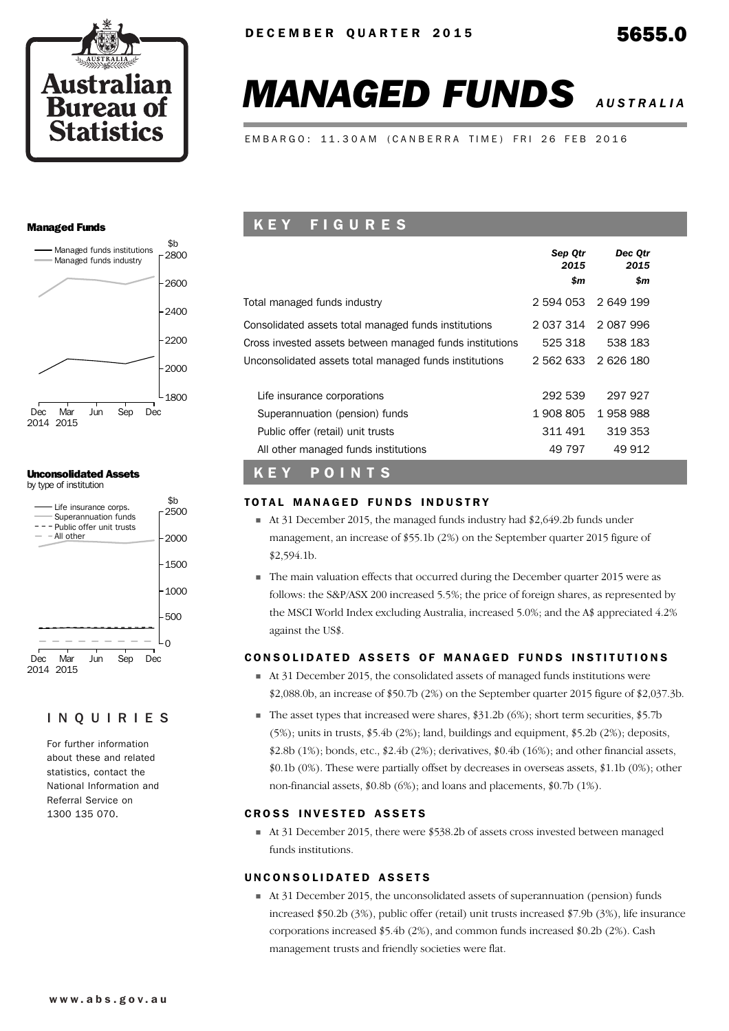



EMBARGO: 11.30AM (CANBERRA TIME) FRI 26 FEB 2016

#### Managed Funds



## Unconsolidated Assets





#### INQUIRIES

For further information about these and related statistics, contact the National Information and Referral Service on 1300 135 070.

## K E Y F I G U R E S

| Total managed funds industry<br>2 594 053<br>2 649 199<br>2 037 314 2 087 996<br>Consolidated assets total managed funds institutions<br>538 183<br>525 318<br>Cross invested assets between managed funds institutions<br>2 626 180<br>Unconsolidated assets total managed funds institutions<br>2 562 633<br>292 539<br>297 927<br>Life insurance corporations<br>1908805<br>1958988<br>Superannuation (pension) funds<br>311 491<br>319 353<br>Public offer (retail) unit trusts | Sep Otr<br>2015<br>\$m | Dec Otr<br>2015<br>\$m |  |
|-------------------------------------------------------------------------------------------------------------------------------------------------------------------------------------------------------------------------------------------------------------------------------------------------------------------------------------------------------------------------------------------------------------------------------------------------------------------------------------|------------------------|------------------------|--|
|                                                                                                                                                                                                                                                                                                                                                                                                                                                                                     |                        |                        |  |
|                                                                                                                                                                                                                                                                                                                                                                                                                                                                                     |                        |                        |  |
|                                                                                                                                                                                                                                                                                                                                                                                                                                                                                     |                        |                        |  |
|                                                                                                                                                                                                                                                                                                                                                                                                                                                                                     |                        |                        |  |
|                                                                                                                                                                                                                                                                                                                                                                                                                                                                                     |                        |                        |  |
|                                                                                                                                                                                                                                                                                                                                                                                                                                                                                     |                        |                        |  |
|                                                                                                                                                                                                                                                                                                                                                                                                                                                                                     |                        |                        |  |
| 49 797<br>49 912<br>All other managed funds institutions                                                                                                                                                                                                                                                                                                                                                                                                                            |                        |                        |  |

## K E Y P O I N T S

#### TOTAL MANAGED FUNDS INDUSTRY

- At 31 December 2015, the managed funds industry had \$2,649.2b funds under management, an increase of \$55.1b (2%) on the September quarter 2015 figure of \$2,594.1b.
- The main valuation effects that occurred during the December quarter 2015 were as follows: the S&P/ASX 200 increased 5.5%; the price of foreign shares, as represented by the MSCI World Index excluding Australia, increased 5.0%; and the A\$ appreciated 4.2% against the US\$.

#### CONSOLIDATED ASSETS OF MANAGED FUNDS INSTITUTIONS

- At 31 December 2015, the consolidated assets of managed funds institutions were  $$2,088.0b$ , an increase of  $$50.7b$  (2%) on the September quarter 2015 figure of  $$2,037.3b$ .
- The asset types that increased were shares,  $$31.2b (6%)$ ; short term securities,  $$5.7b$ (5%); units in trusts, \$5.4b (2%); land, buildings and equipment, \$5.2b (2%); deposits, \$2.8b (1%); bonds, etc., \$2.4b (2%); derivatives, \$0.4b (16%); and other financial assets, \$0.1b (0%). These were partially offset by decreases in overseas assets, \$1.1b (0%); other non-financial assets, \$0.8b (6%); and loans and placements, \$0.7b (1%).

#### **CROSS INVESTED ASSETS**

 $\blacksquare$  At 31 December 2015, there were \$538.2b of assets cross invested between managed funds institutions.

#### UNCONSOLIDATED ASSETS

At 31 December 2015, the unconsolidated assets of superannuation (pension) funds increased \$50.2b (3%), public offer (retail) unit trusts increased \$7.9b (3%), life insurance corporations increased \$5.4b (2%), and common funds increased \$0.2b (2%). Cash management trusts and friendly societies were flat.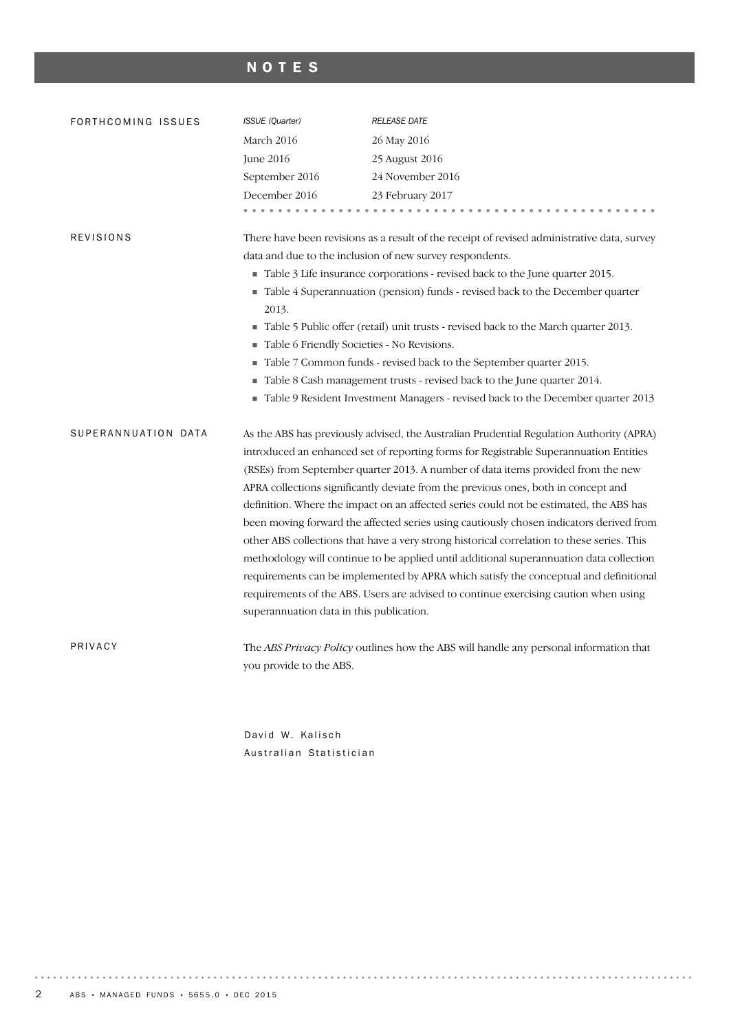## NOTES

| FORTHCOMING ISSUES  | ISSUE (Quarter)                                 | <b>RELEASE DATE</b>                                                                         |
|---------------------|-------------------------------------------------|---------------------------------------------------------------------------------------------|
|                     | March 2016                                      | 26 May 2016                                                                                 |
|                     | June 2016                                       | 25 August 2016                                                                              |
|                     | September 2016                                  | 24 November 2016                                                                            |
|                     | December 2016                                   | 23 February 2017                                                                            |
|                     |                                                 |                                                                                             |
| <b>REVISIONS</b>    |                                                 | There have been revisions as a result of the receipt of revised administrative data, survey |
|                     |                                                 | data and due to the inclusion of new survey respondents.                                    |
|                     |                                                 | Table 3 Life insurance corporations - revised back to the June quarter 2015.                |
|                     |                                                 | Table 4 Superannuation (pension) funds - revised back to the December quarter               |
|                     | 2013.                                           |                                                                                             |
|                     |                                                 | Table 5 Public offer (retail) unit trusts - revised back to the March quarter 2013.         |
|                     | Table 6 Friendly Societies - No Revisions.<br>п |                                                                                             |
|                     |                                                 | Table 7 Common funds - revised back to the September quarter 2015.                          |
|                     |                                                 | Table 8 Cash management trusts - revised back to the June quarter 2014.                     |
|                     | ш                                               | Table 9 Resident Investment Managers - revised back to the December quarter 2013            |
| SUPERANNUATION DATA |                                                 | As the ABS has previously advised, the Australian Prudential Regulation Authority (APRA)    |
|                     |                                                 | introduced an enhanced set of reporting forms for Registrable Superannuation Entities       |
|                     |                                                 | (RSEs) from September quarter 2013. A number of data items provided from the new            |
|                     |                                                 | APRA collections significantly deviate from the previous ones, both in concept and          |
|                     |                                                 | definition. Where the impact on an affected series could not be estimated, the ABS has      |
|                     |                                                 | been moving forward the affected series using cautiously chosen indicators derived from     |
|                     |                                                 | other ABS collections that have a very strong historical correlation to these series. This  |
|                     |                                                 | methodology will continue to be applied until additional superannuation data collection     |
|                     |                                                 | requirements can be implemented by APRA which satisfy the conceptual and definitional       |
|                     |                                                 | requirements of the ABS. Users are advised to continue exercising caution when using        |
|                     | superannuation data in this publication.        |                                                                                             |
| PRIVACY             |                                                 | The ABS Privacy Policy outlines how the ABS will handle any personal information that       |
|                     | you provide to the ABS.                         |                                                                                             |
|                     |                                                 |                                                                                             |

David W. Kalisch Australian Statistician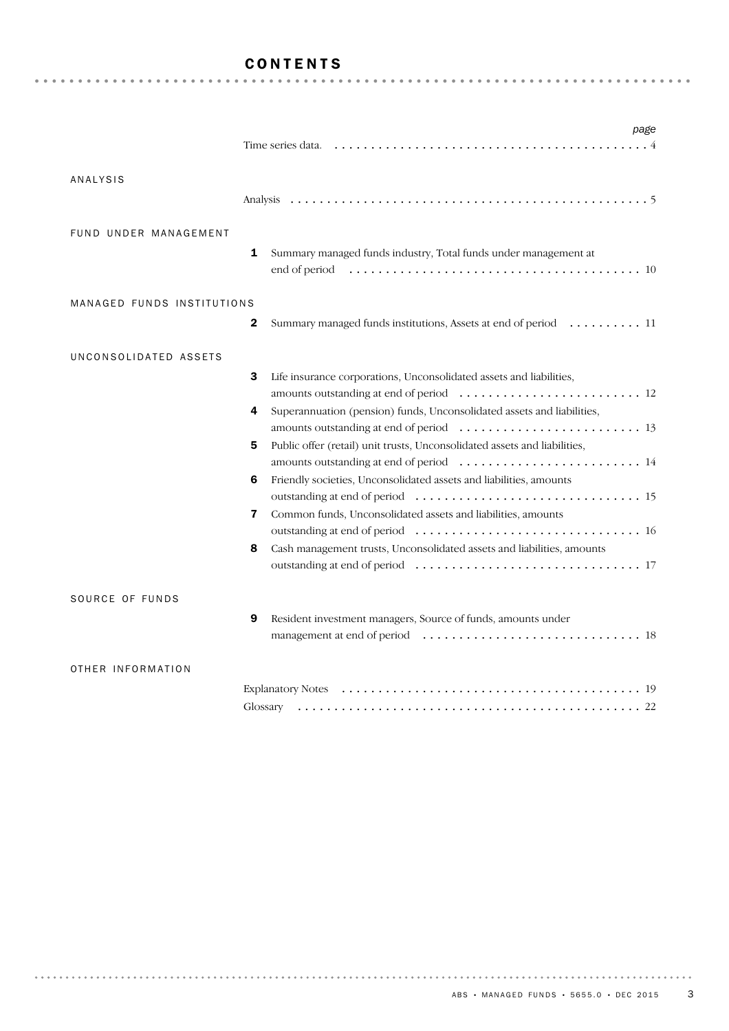## CONTENTS

|                            | page                                                                                                                                                                                                                                                                                                                                                                                                                                                                     |
|----------------------------|--------------------------------------------------------------------------------------------------------------------------------------------------------------------------------------------------------------------------------------------------------------------------------------------------------------------------------------------------------------------------------------------------------------------------------------------------------------------------|
| ANALYSIS                   |                                                                                                                                                                                                                                                                                                                                                                                                                                                                          |
| FUND UNDER MANAGEMENT      | 1<br>Summary managed funds industry, Total funds under management at                                                                                                                                                                                                                                                                                                                                                                                                     |
| MANAGED FUNDS INSTITUTIONS | 2<br>Summary managed funds institutions, Assets at end of period  11                                                                                                                                                                                                                                                                                                                                                                                                     |
| UNCONSOLIDATED ASSETS      | 3<br>Life insurance corporations, Unconsolidated assets and liabilities,<br>Superannuation (pension) funds, Unconsolidated assets and liabilities,<br>4<br>Public offer (retail) unit trusts, Unconsolidated assets and liabilities,<br>5<br>Friendly societies, Unconsolidated assets and liabilities, amounts<br>6<br>Common funds, Unconsolidated assets and liabilities, amounts<br>7<br>8<br>Cash management trusts, Unconsolidated assets and liabilities, amounts |
| SOURCE OF FUNDS            | Resident investment managers, Source of funds, amounts under<br>9                                                                                                                                                                                                                                                                                                                                                                                                        |
| OTHER INFORMATION          | Glossary                                                                                                                                                                                                                                                                                                                                                                                                                                                                 |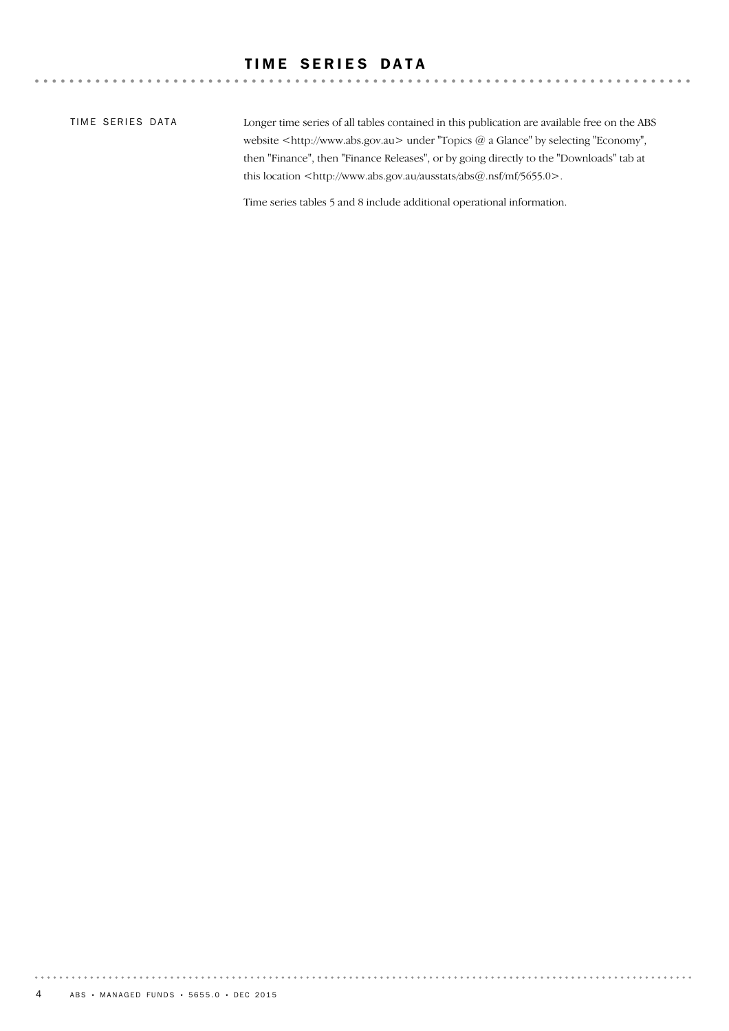## TIME SERIES DATA

TIME SERIES DATA

Longer time series of all tables contained in this publication are available free on the ABS website <http://www.abs.gov.au> under "Topics @ a Glance" by selecting "Economy", then "Finance", then "Finance Releases", or by going directly to the "Downloads" tab at this location <http://www.abs.gov.au/ausstats/abs@.nsf/mf/5655.0>.

 $\mathbf{A}$  and  $\mathbf{A}$  and  $\mathbf{A}$ 

. . . . . . . . . . . . .

Time series tables 5 and 8 include additional operational information.

. . . . . . . . .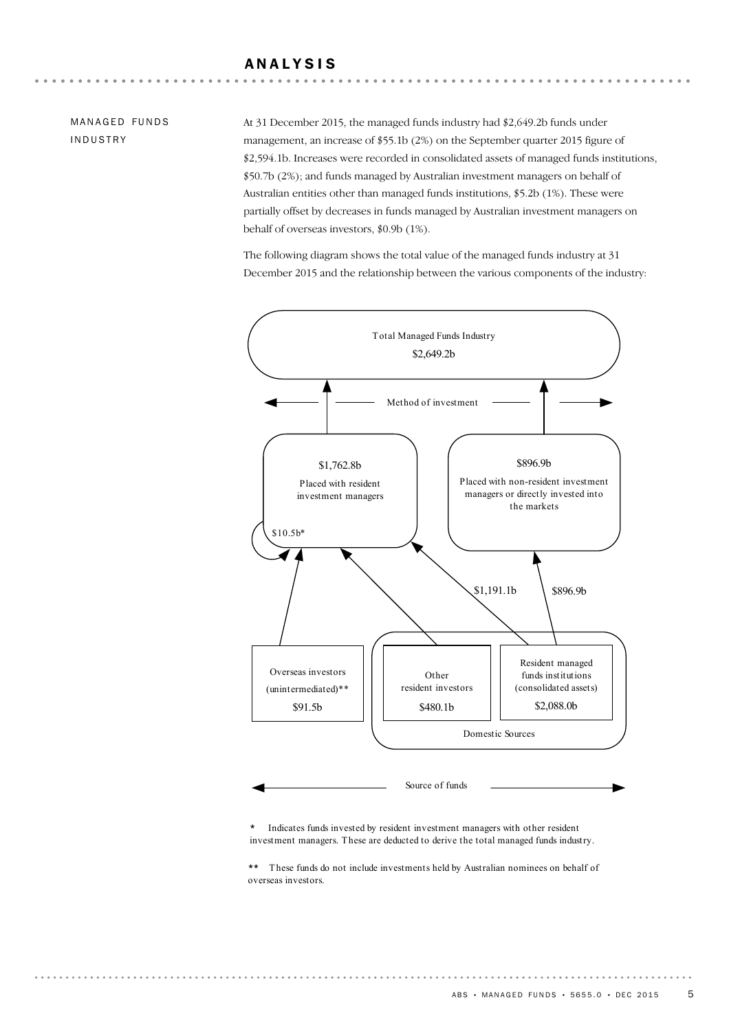## ANALYSIS

MANAGED FUNDS INDUSTRY

At 31 December 2015, the managed funds industry had \$2,649.2b funds under management, an increase of \$55.1b (2%) on the September quarter 2015 figure of \$2,594.1b. Increases were recorded in consolidated assets of managed funds institutions, \$50.7b (2%); and funds managed by Australian investment managers on behalf of Australian entities other than managed funds institutions, \$5.2b (1%). These were partially offset by decreases in funds managed by Australian investment managers on behalf of overseas investors, \$0.9b (1%).

The following diagram shows the total value of the managed funds industry at 31 December 2015 and the relationship between the various components of the industry:



\* Indicates funds invested by resident investment managers with other resident investment managers. T hese are deducted to derive the total managed funds industry.

\*\* These funds do not include investments held by Australian nominees on behalf of overseas investors.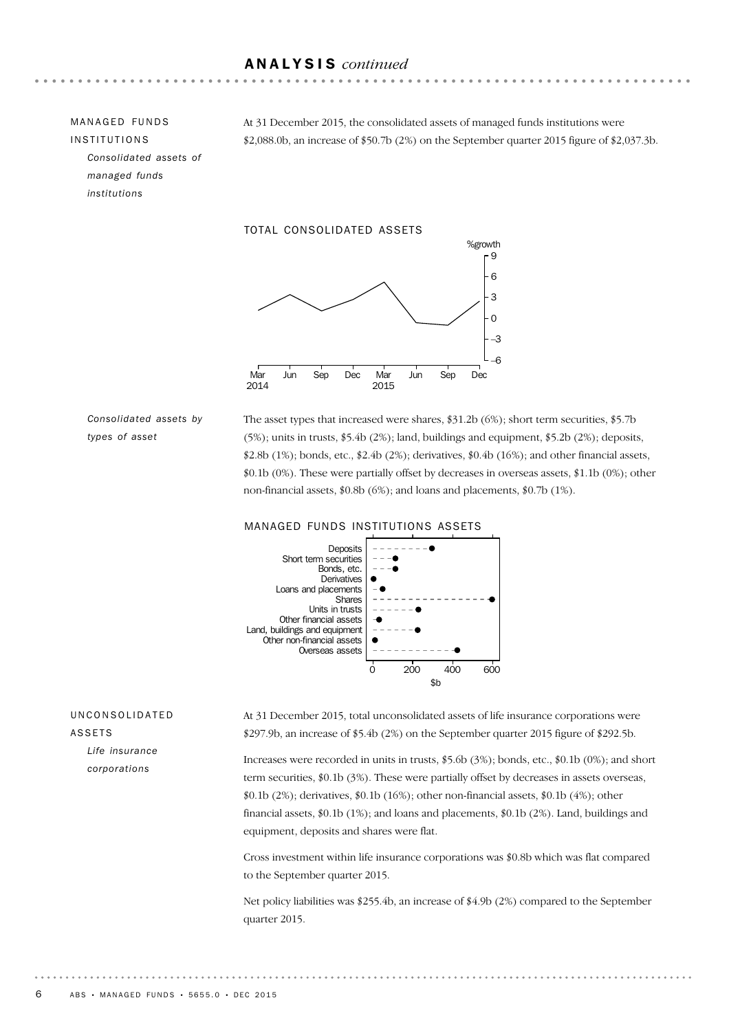## ANALYSIS *continued*

MANAGED FUNDS INSTITUTIONS *Consolidated assets of managed funds institutions*

At 31 December 2015, the consolidated assets of managed funds institutions were \$2,088.0b, an increase of \$50.7b (2%) on the September quarter 2015 figure of \$2,037.3b.

TOTAL CONSOLIDATED ASSETS



*Consolidated assets by types of asset*

The asset types that increased were shares, \$31.2b (6%); short term securities, \$5.7b (5%); units in trusts, \$5.4b (2%); land, buildings and equipment, \$5.2b (2%); deposits, \$2.8b (1%); bonds, etc., \$2.4b (2%); derivatives, \$0.4b (16%); and other financial assets, \$0.1b (0%). These were partially offset by decreases in overseas assets, \$1.1b (0%); other non-financial assets, \$0.8b (6%); and loans and placements, \$0.7b (1%).

#### MANAGED FUNDS INSTITUTIONS ASSETS



## UNCONSOLIDATED ASSETS *Life insurance*

*corporations*

At 31 December 2015, total unconsolidated assets of life insurance corporations were \$297.9b, an increase of \$5.4b (2%) on the September quarter 2015 figure of \$292.5b.

Increases were recorded in units in trusts, \$5.6b (3%); bonds, etc., \$0.1b (0%); and short term securities, \$0.1b (3%). These were partially offset by decreases in assets overseas, \$0.1b (2%); derivatives, \$0.1b (16%); other non-financial assets, \$0.1b (4%); other financial assets, \$0.1b (1%); and loans and placements, \$0.1b (2%). Land, buildings and equipment, deposits and shares were flat.

Cross investment within life insurance corporations was \$0.8b which was flat compared to the September quarter 2015.

Net policy liabilities was \$255.4b, an increase of \$4.9b (2%) compared to the September quarter 2015.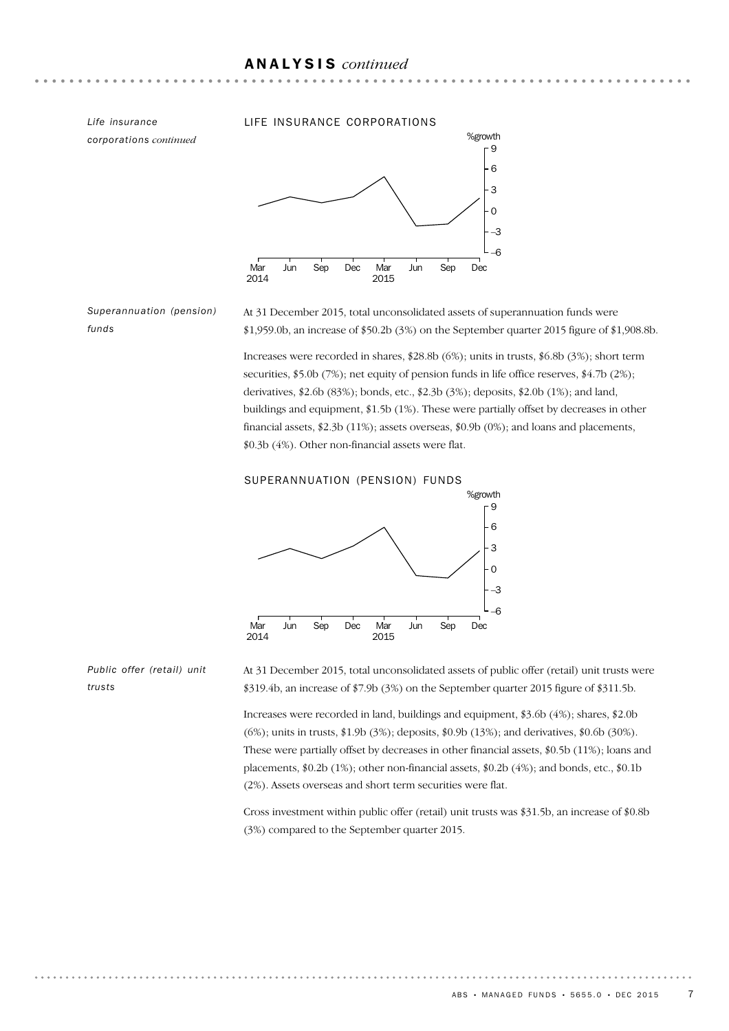*corporations continued*

#### *Life insurance* LIFE INSURANCE CORPORATIONS



*Superannuation (pension) funds*

At 31 December 2015, total unconsolidated assets of superannuation funds were  $$1,959.0b$ , an increase of  $$50.2b$  (3%) on the September quarter 2015 figure of  $$1,908.8b$ .

Increases were recorded in shares, \$28.8b (6%); units in trusts, \$6.8b (3%); short term securities, \$5.0b (7%); net equity of pension funds in life office reserves, \$4.7b (2%); derivatives, \$2.6b (83%); bonds, etc., \$2.3b (3%); deposits, \$2.0b (1%); and land, buildings and equipment, \$1.5b (1%). These were partially offset by decreases in other financial assets, \$2.3b (11%); assets overseas, \$0.9b (0%); and loans and placements, \$0.3b (4%). Other non-financial assets were flat.

SUPERANNUATION (PENSION) FUNDS



*Public offer (retail) unit trusts*

At 31 December 2015, total unconsolidated assets of public offer (retail) unit trusts were \$319.4b, an increase of \$7.9b (3%) on the September quarter 2015 figure of \$311.5b.

Increases were recorded in land, buildings and equipment, \$3.6b (4%); shares, \$2.0b (6%); units in trusts, \$1.9b (3%); deposits, \$0.9b (13%); and derivatives, \$0.6b (30%). These were partially offset by decreases in other financial assets, \$0.5b (11%); loans and placements, \$0.2b (1%); other non-financial assets, \$0.2b (4%); and bonds, etc., \$0.1b (2%). Assets overseas and short term securities were flat.

Cross investment within public offer (retail) unit trusts was \$31.5b, an increase of \$0.8b (3%) compared to the September quarter 2015.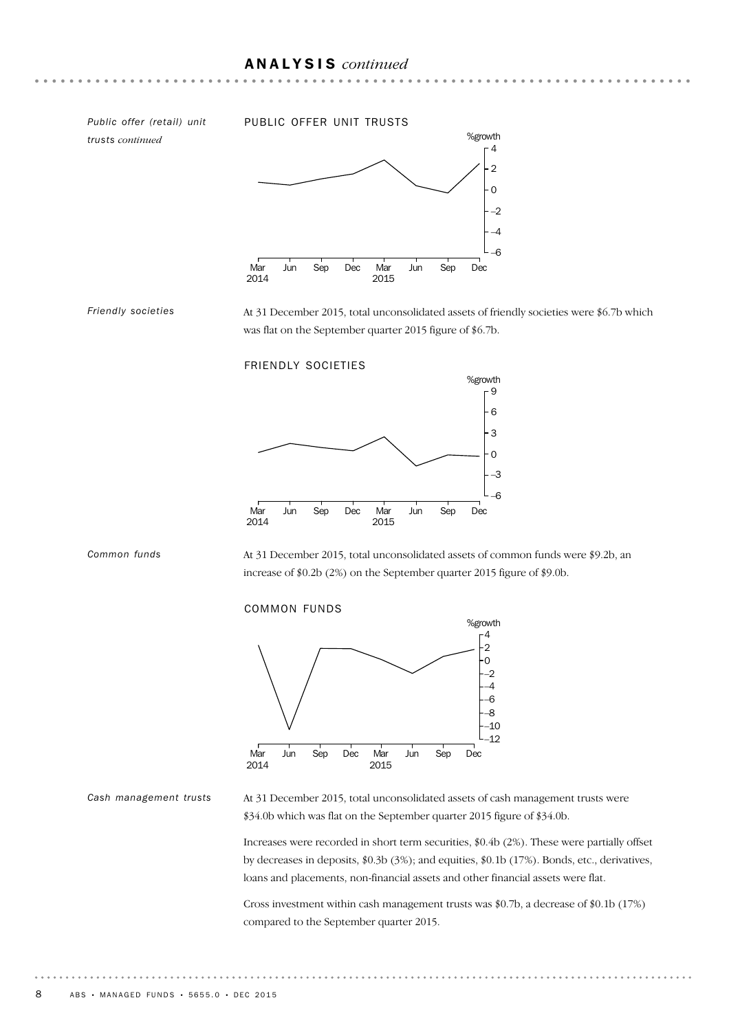*trusts continued*

*Friendly societies*

#### *Public offer (retail) unit* PUBLIC OFFER UNIT TRUSTS



At 31 December 2015, total unconsolidated assets of friendly societies were \$6.7b which was flat on the September quarter 2015 figure of \$6.7b.

FRIENDLY SOCIETIES





At 31 December 2015, total unconsolidated assets of common funds were \$9.2b, an increase of \$0.2b (2%) on the September quarter 2015 figure of \$9.0b.

#### COMMON FUNDS



#### *Cash management trusts*

At 31 December 2015, total unconsolidated assets of cash management trusts were \$34.0b which was flat on the September quarter 2015 figure of \$34.0b.

Increases were recorded in short term securities, \$0.4b (2%). These were partially offset by decreases in deposits, \$0.3b (3%); and equities, \$0.1b (17%). Bonds, etc., derivatives, loans and placements, non-financial assets and other financial assets were flat.

Cross investment within cash management trusts was \$0.7b, a decrease of \$0.1b (17%) compared to the September quarter 2015.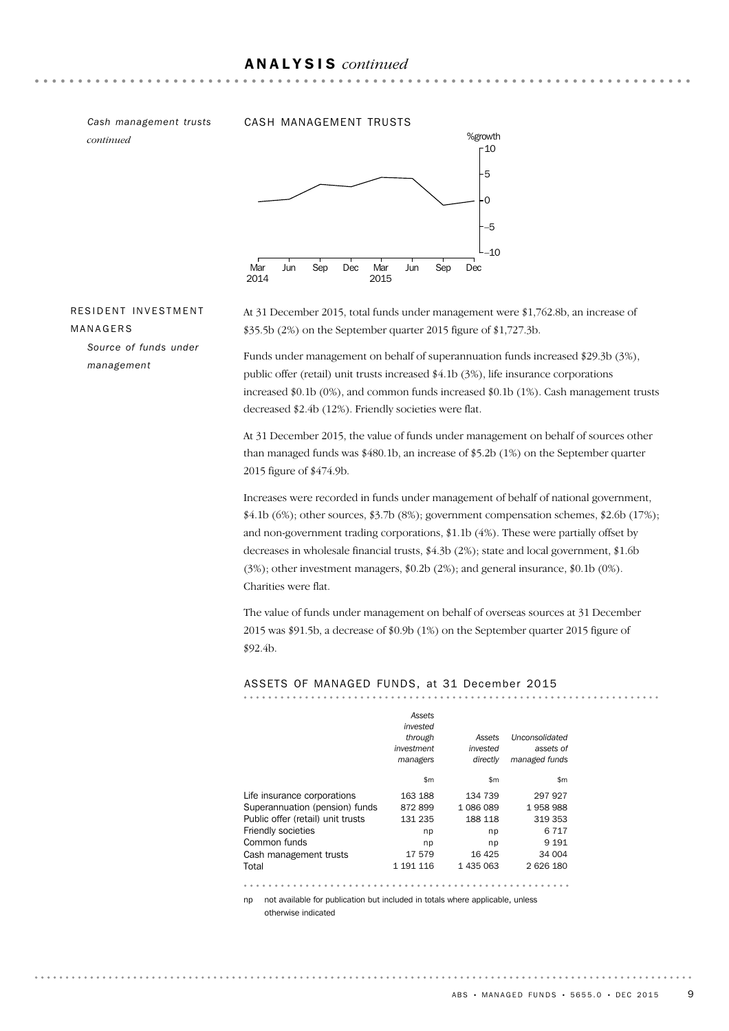## ANALYSIS *continued*

*continued*

#### *Cash management trusts* CASH MANAGEMENT TRUSTS



### RESIDENT INVESTMENT MANAGERS

*Source of funds under management*

At 31 December 2015, total funds under management were \$1,762.8b, an increase of \$35.5b (2%) on the September quarter 2015 figure of \$1,727.3b.

Funds under management on behalf of superannuation funds increased \$29.3b (3%), public offer (retail) unit trusts increased \$4.1b (3%), life insurance corporations increased \$0.1b (0%), and common funds increased \$0.1b (1%). Cash management trusts decreased \$2.4b (12%). Friendly societies were flat.

At 31 December 2015, the value of funds under management on behalf of sources other than managed funds was \$480.1b, an increase of \$5.2b (1%) on the September quarter 2015 figure of \$474.9b.

Increases were recorded in funds under management of behalf of national government, \$4.1b (6%); other sources, \$3.7b (8%); government compensation schemes, \$2.6b (17%); and non-government trading corporations, \$1.1b (4%). These were partially offset by decreases in wholesale financial trusts, \$4.3b (2%); state and local government, \$1.6b (3%); other investment managers, \$0.2b (2%); and general insurance, \$0.1b (0%). Charities were flat.

The value of funds under management on behalf of overseas sources at 31 December 2015 was \$91.5b, a decrease of \$0.9b (1%) on the September quarter 2015 figure of \$92.4b.

ASSETS OF MANAGED FUNDS, at 31 December 2015

|                                   | Assets<br>invested |           |                |
|-----------------------------------|--------------------|-----------|----------------|
|                                   | through            | Assets    | Unconsolidated |
|                                   | investment         | invested  | assets of      |
|                                   | managers           | directly  | managed funds  |
|                                   | \$m                | \$m\$     | \$m\$          |
| Life insurance corporations       | 163 188            | 134 739   | 297 927        |
| Superannuation (pension) funds    | 872899             | 1086089   | 1958988        |
| Public offer (retail) unit trusts | 131 235            | 188 118   | 319 353        |
| <b>Friendly societies</b>         | np                 | np        | 6 7 1 7        |
| Common funds                      | np                 | np        | 9 1 9 1        |
| Cash management trusts            | 17579              | 16 4 25   | 34 004         |
| Total                             | 1 191 116          | 1 435 063 | 2 626 180      |
|                                   |                    |           |                |

np not available for publication but included in totals where applicable, unless otherwise indicated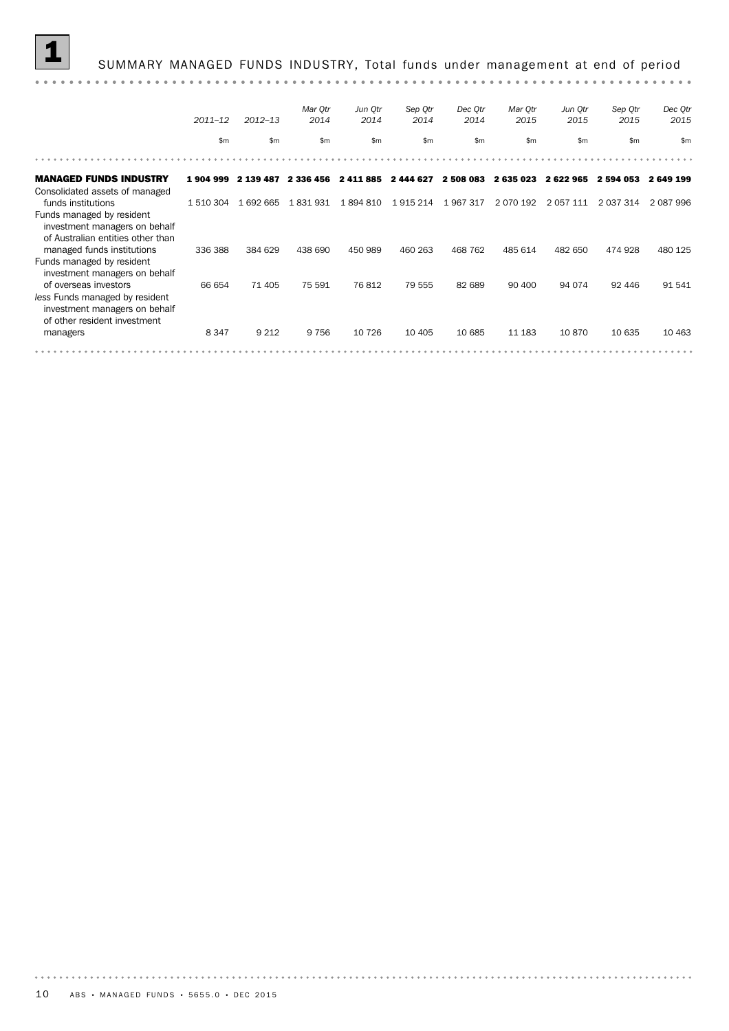|                                                                                                                          |             |             | Mar Otr   | Jun Qtr      | Sep Qtr   | Dec Qtr   | Mar Otr       | Jun Otr       | Sep Qtr       | Dec Qtr   |
|--------------------------------------------------------------------------------------------------------------------------|-------------|-------------|-----------|--------------|-----------|-----------|---------------|---------------|---------------|-----------|
|                                                                                                                          | $2011 - 12$ | $2012 - 13$ | 2014      | 2014         | 2014      | 2014      | 2015          | 2015          | 2015          | 2015      |
|                                                                                                                          | \$m\$       | \$m\$       | \$m\$     | $\mathsf{m}$ | \$m\$     | \$m\$     | \$m           | \$m\$         | \$m           | \$m       |
|                                                                                                                          |             |             |           |              |           |           |               |               |               |           |
| <b>MANAGED FUNDS INDUSTRY</b><br>Consolidated assets of managed                                                          | 1904999     | 2 139 487   | 2 336 456 | 2 411 885    | 2 444 627 | 2 508 083 | 2635023       | 2622965       | 2 594 053     | 2 649 199 |
| funds institutions<br>Funds managed by resident<br>investment managers on behalf<br>of Australian entities other than    | 1 510 304   | 1 692 665   | 1 831 931 | 1894810      | 1 915 214 | 1967317   | 2 0 7 0 1 9 2 | 2 0 5 7 1 1 1 | 2 0 3 7 3 1 4 | 2 087 996 |
| managed funds institutions<br>Funds managed by resident<br>investment managers on behalf                                 | 336 388     | 384 629     | 438 690   | 450 989      | 460 263   | 468 762   | 485 614       | 482 650       | 474 928       | 480 125   |
| of overseas investors<br>less Funds managed by resident<br>investment managers on behalf<br>of other resident investment | 66 654      | 71 405      | 75 591    | 76812        | 79 555    | 82 689    | 90 400        | 94 074        | 92 446        | 91 541    |
| managers                                                                                                                 | 8 3 4 7     | 9 2 1 2     | 9 7 5 6   | 10 7 26      | 10 4 05   | 10 685    | 11 183        | 10870         | 10 635        | 10 4 63   |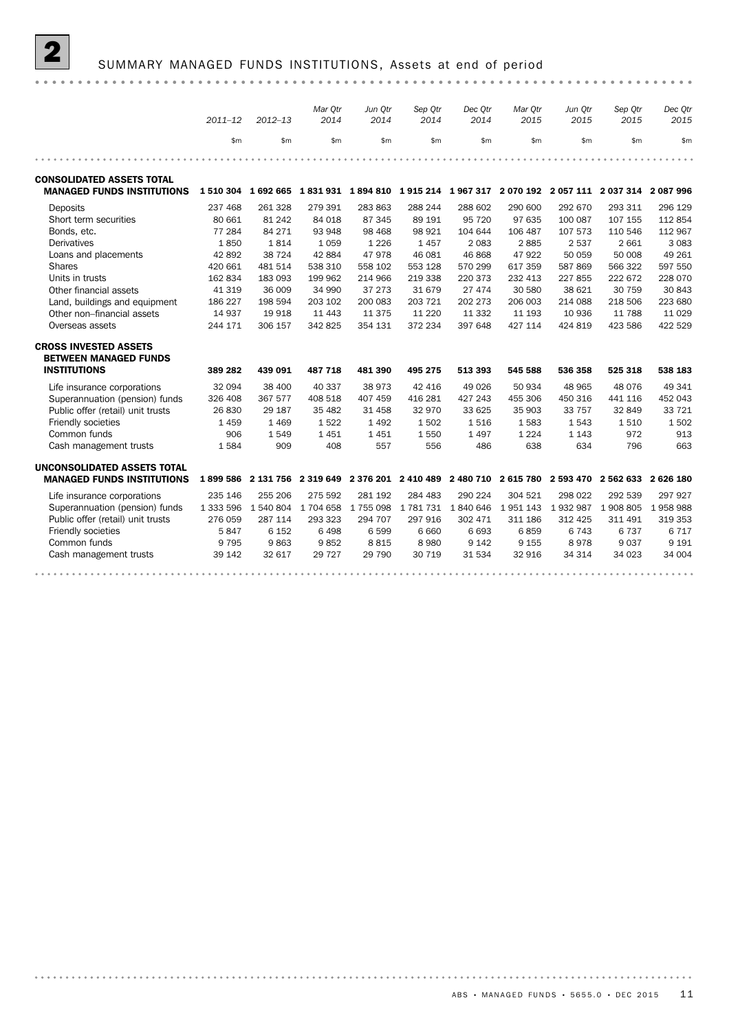## SUMMARY MANAGED FUNDS INSTITUTIONS, Assets at end of period

|                                   |             |             | Mar Qtr             | Jun Qtr | Sep Qtr                                 | Dec Qtr         | Mar Qtr             | Jun Qtr   | Sep Qtr                                                                                             | Dec Qtr |
|-----------------------------------|-------------|-------------|---------------------|---------|-----------------------------------------|-----------------|---------------------|-----------|-----------------------------------------------------------------------------------------------------|---------|
|                                   | $2011 - 12$ | $2012 - 13$ | 2014                | 2014    | 2014                                    | 2014            | 2015                | 2015      | 2015                                                                                                | 2015    |
|                                   | \$m         | \$m\$       | \$m                 | \$m\$   | \$m\$                                   | \$m\$           | \$m\$               | \$m       | \$m                                                                                                 | \$m     |
|                                   |             |             |                     |         |                                         |                 |                     |           |                                                                                                     |         |
| <b>CONSOLIDATED ASSETS TOTAL</b>  |             |             |                     |         |                                         |                 |                     |           |                                                                                                     |         |
| <b>MANAGED FUNDS INSTITUTIONS</b> |             |             |                     |         |                                         |                 |                     |           | 1 510 304 1 692 665 1 831 931 1 894 810 1 915 214 1 967 317 2 070 192 2 057 111 2 037 314 2 087 996 |         |
| Deposits                          | 237 468     | 261 328     | 279 391             | 283 863 | 288 244                                 | 288 602         | 290 600             | 292 670   | 293 311                                                                                             | 296 129 |
| Short term securities             | 80 661      | 81 24 2     | 84 018              | 87 345  | 89 191                                  | 95 720          | 97 635              | 100 087   | 107 155                                                                                             | 112854  |
| Bonds, etc.                       | 77 284      | 84 271      | 93 948              | 98 4 68 | 98 921                                  | 104 644         | 106 487             | 107 573   | 110 546                                                                                             | 112 967 |
| <b>Derivatives</b>                | 1850        | 1814        | 1 0 5 9             | 1 2 2 6 | 1457                                    | 2 0 8 3         | 2885                | 2537      | 2 6 6 1                                                                                             | 3 0 8 3 |
| Loans and placements              | 42 892      | 38 7 24     | 42 884              | 47 978  | 46 081                                  | 46 868          | 47922               | 50 059    | 50 008                                                                                              | 49 261  |
| <b>Shares</b>                     | 420 661     | 481 514     | 538 310             | 558 102 | 553 128                                 | 570 299         | 617 359             | 587869    | 566 322                                                                                             | 597 550 |
| Units in trusts                   | 162 834     | 183 093     | 199 962             | 214 966 | 219 338                                 | 220 373         | 232 413             | 227 855   | 222 672                                                                                             | 228 070 |
| Other financial assets            | 41 319      | 36 009      | 34 990              | 37 273  | 31 679                                  | 27 474          | 30 580              | 38 621    | 30 759                                                                                              | 30 843  |
| Land, buildings and equipment     | 186 227     | 198 594     | 203 102             | 200 083 | 203 721                                 | 202 273         | 206 003             | 214 088   | 218 506                                                                                             | 223 680 |
| Other non-financial assets        | 14 937      | 19 918      | 11 4 43             | 11 375  | 11 2 20                                 | 11 3 32         | 11 193              | 10 936    | 11 788                                                                                              | 11 0 29 |
| Overseas assets                   | 244 171     | 306 157     | 342 825             | 354 131 | 372 234                                 | 397 648         | 427 114             | 424 819   | 423 586                                                                                             | 422 529 |
| <b>CROSS INVESTED ASSETS</b>      |             |             |                     |         |                                         |                 |                     |           |                                                                                                     |         |
| <b>BETWEEN MANAGED FUNDS</b>      |             |             |                     |         |                                         |                 |                     |           |                                                                                                     |         |
| <b>INSTITUTIONS</b>               | 389 282     | 439 091     | 487 718             | 481 390 | 495 275                                 | 513 393         | 545 588             | 536 358   | 525 318                                                                                             | 538 183 |
| Life insurance corporations       | 32 094      | 38 400      | 40 337              | 38 973  | 42 416                                  | 49 0 26         | 50 934              | 48 965    | 48 0 76                                                                                             | 49 341  |
| Superannuation (pension) funds    | 326 408     | 367 577     | 408 518             | 407 459 | 416 281                                 | 427 243         | 455 306             | 450 316   | 441 116                                                                                             | 452 043 |
| Public offer (retail) unit trusts | 26 830      | 29 187      | 35 4 82             | 31 458  | 32 970                                  | 33 625          | 35 903              | 33 757    | 32 849                                                                                              | 33 7 21 |
| Friendly societies                | 1459        | 1 4 6 9     | 1522                | 1 4 9 2 | 1502                                    | 1516            | 1583                | 1543      | 1510                                                                                                | 1502    |
| Common funds                      | 906         | 1549        | 1451                | 1451    | 1 5 5 0                                 | 1497            | 1 2 2 4             | 1 1 4 3   | 972                                                                                                 | 913     |
| Cash management trusts            | 1584        | 909         | 408                 | 557     | 556                                     | 486             | 638                 | 634       | 796                                                                                                 | 663     |
| UNCONSOLIDATED ASSETS TOTAL       |             |             |                     |         |                                         |                 |                     |           |                                                                                                     |         |
| <b>MANAGED FUNDS INSTITUTIONS</b> | 1899586     |             |                     |         | 2 131 756 2 319 649 2 376 201 2 410 489 |                 | 2 480 710 2 615 780 | 2 593 470 | 2 562 633 2 626 180                                                                                 |         |
| Life insurance corporations       | 235 146     | 255 206     | 275 592             | 281 192 | 284 483                                 | 290 224         | 304 521             | 298 022   | 292 539                                                                                             | 297 927 |
| Superannuation (pension) funds    | 1 333 596   |             | 1 540 804 1 704 658 | 1755098 |                                         | 1781731 1840646 | 1951143             |           | 1932987 1908805                                                                                     | 1958988 |
| Public offer (retail) unit trusts | 276 059     | 287 114     | 293 323             | 294 707 | 297 916                                 | 302 471         | 311 186             | 312 425   | 311 491                                                                                             | 319 353 |
| Friendly societies                | 5847        | 6 1 5 2     | 6498                | 6 5 9 9 | 6 6 6 0                                 | 6 6 9 3         | 6859                | 6 7 4 3   | 6737                                                                                                | 6 7 1 7 |
| Common funds                      | 9 7 9 5     | 9863        | 9852                | 8815    | 8 9 8 0                                 | 9 1 4 2         | 9 1 5 5             | 8978      | 9037                                                                                                | 9 1 9 1 |
| Cash management trusts            | 39 142      | 32 617      | 29 7 27             | 29 790  | 30 719                                  | 31 534          | 32 916              | 34 314    | 34 023                                                                                              | 34 004  |
|                                   |             |             |                     |         |                                         |                 |                     |           |                                                                                                     |         |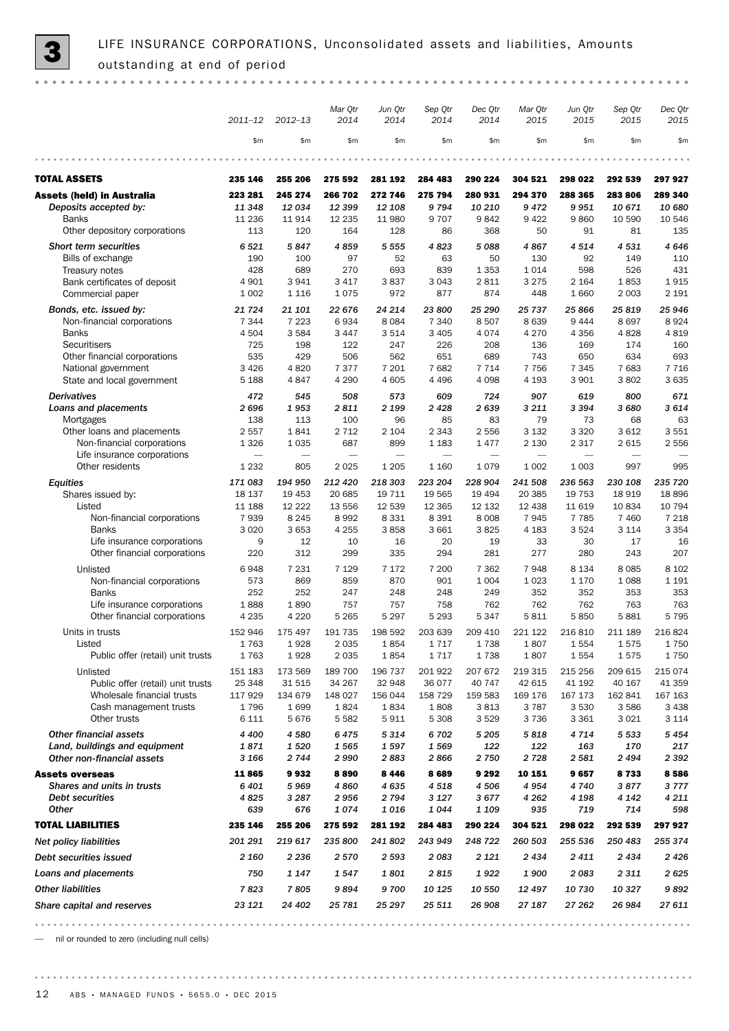|                                                             | $2011 - 12$              | $2012 - 13$              | Mar Qtr<br>2014   | Jun Qtr<br>2014          | Sep Qtr<br>2014              | Dec Qtr<br>2014   | Mar Qtr<br>2015          | Jun Qtr<br>2015   | Sep Qtr<br>2015          | Dec Qtr<br>2015   |
|-------------------------------------------------------------|--------------------------|--------------------------|-------------------|--------------------------|------------------------------|-------------------|--------------------------|-------------------|--------------------------|-------------------|
|                                                             | \$m                      | \$m\$                    | \$m               | \$m                      | \$m\$                        | \$m               | \$m                      | \$m               | \$m\$                    | \$m               |
|                                                             |                          |                          |                   |                          |                              |                   |                          |                   |                          |                   |
| <b>TOTAL ASSETS</b>                                         | 235 146                  | 255 206                  | 275 592           | 281 192                  | 284 483                      | 290 224           | 304 521                  | 298 022           | 292 539                  | 297 927           |
| <b>Assets (held) in Australia</b>                           | 223 281                  | 245 274                  | 266 702           | 272 746                  | 275 794                      | 280 931           | 294 370                  | 288 365           | 283 806                  | 289 340           |
| Deposits accepted by:<br><b>Banks</b>                       | 11 348<br>11 2 36        | 12034<br>11914           | 12 399<br>12 2 35 | 12 108<br>11 980         | 9794<br>9707                 | 10 210<br>9842    | 9472<br>9 4 2 2          | 9951<br>9860      | 10 671<br>10 590         | 10 680<br>10 546  |
| Other depository corporations                               | 113                      | 120                      | 164               | 128                      | 86                           | 368               | 50                       | 91                | 81                       | 135               |
| <b>Short term securities</b>                                | 6 5 21                   | 5847                     | 4859              | 5 5 5 5                  | 4823                         | 5088              | 4867                     | 4514              | 4531                     | 4646              |
| Bills of exchange                                           | 190                      | 100                      | 97                | 52                       | 63                           | 50                | 130                      | 92                | 149                      | 110               |
| Treasury notes                                              | 428                      | 689                      | 270               | 693                      | 839                          | 1 3 5 3           | 1014                     | 598               | 526                      | 431               |
| Bank certificates of deposit<br>Commercial paper            | 4 9 0 1<br>1 0 0 2       | 3941<br>1 1 1 6          | 3 4 1 7<br>1075   | 3837<br>972              | 3 0 4 3<br>877               | 2811<br>874       | 3 2 7 5<br>448           | 2 1 6 4<br>1 660  | 1853<br>2 0 0 3          | 1915<br>2 1 9 1   |
|                                                             |                          |                          |                   |                          |                              |                   |                          |                   |                          |                   |
| Bonds, etc. issued by:<br>Non-financial corporations        | 21 7 24<br>7 3 4 4       | 21 101<br>7 2 2 3        | 22 676<br>6934    | 24 214<br>8084           | 23 800<br>7 3 4 0            | 25 290<br>8507    | 25 737<br>8639           | 25 866<br>9 4 4 4 | 25819<br>8697            | 25 946<br>8924    |
| <b>Banks</b>                                                | 4 5 0 4                  | 3584                     | 3 4 4 7           | 3514                     | 3 4 0 5                      | 4074              | 4 2 7 0                  | 4 3 5 6           | 4828                     | 4819              |
| Securitisers                                                | 725                      | 198                      | 122               | 247                      | 226                          | 208               | 136                      | 169               | 174                      | 160               |
| Other financial corporations                                | 535                      | 429                      | 506               | 562                      | 651                          | 689               | 743                      | 650               | 634                      | 693               |
| National government                                         | 3 4 2 6                  | 4820                     | 7377              | 7 201                    | 7682                         | 7 7 1 4           | 7 7 5 6                  | 7 3 4 5           | 7683                     | 7 7 1 6           |
| State and local government                                  | 5 1 8 8                  | 4847                     | 4 2 9 0           | 4 6 0 5                  | 4 4 9 6                      | 4 0 9 8           | 4 1 9 3                  | 3 9 0 1           | 3802                     | 3 6 3 5           |
| <b>Derivatives</b>                                          | 472                      | 545                      | 508               | 573                      | 609                          | 724               | 907                      | 619               | 800                      | 671               |
| Loans and placements<br>Mortgages                           | 2696<br>138              | 1953<br>113              | 2811<br>100       | 2 199<br>96              | 2428<br>85                   | 2639<br>83        | 3 2 1 1<br>79            | 3 3 9 4<br>73     | 3 6 8 0<br>68            | 3614<br>63        |
| Other loans and placements                                  | 2 5 5 7                  | 1841                     | 2 7 1 2           | 2 1 0 4                  | 2 3 4 3                      | 2556              | 3 1 3 2                  | 3 3 2 0           | 3612                     | 3 5 5 1           |
| Non-financial corporations                                  | 1 3 2 6                  | 1 0 3 5                  | 687               | 899                      | 1 1 8 3                      | 1477              | 2 1 3 0                  | 2 3 1 7           | 2615                     | 2 5 5 6           |
| Life insurance corporations                                 | $\overline{\phantom{0}}$ | $\overline{\phantom{0}}$ | -                 | $\overline{\phantom{0}}$ | $\overbrace{\qquad \qquad }$ | -                 | $\overline{\phantom{0}}$ |                   | $\overline{\phantom{0}}$ |                   |
| Other residents                                             | 1 2 3 2                  | 805                      | 2025              | 1 2 0 5                  | 1 1 6 0                      | 1079              | 1 0 0 2                  | 1 0 0 3           | 997                      | 995               |
| Equities                                                    | 171 083                  | 194 950                  | 212 420           | 218 303                  | 223 204                      | 228 904           | 241 508                  | 236 563           | 230 108                  | 235 720           |
| Shares issued by:                                           | 18 137                   | 19 453                   | 20 685            | 19 711                   | 19 565                       | 19 4 94           | 20 385                   | 19 753            | 18 9 19                  | 18896             |
| Listed<br>Non-financial corporations                        | 11 188<br>7939           | 12 222<br>8 2 4 5        | 13 556<br>8992    | 12 539<br>8 3 3 1        | 12 3 65<br>8 3 9 1           | 12 132<br>8 0 0 8 | 12 4 38<br>7945          | 11 619<br>7 7 8 5 | 10834<br>7 4 6 0         | 10 794<br>7 2 1 8 |
| <b>Banks</b>                                                | 3 0 2 0                  | 3653                     | 4 2 5 5           | 3858                     | 3 6 6 1                      | 3825              | 4 1 8 3                  | 3524              | 3 1 1 4                  | 3 3 5 4           |
| Life insurance corporations                                 | 9                        | 12                       | 10                | 16                       | 20                           | 19                | 33                       | 30                | 17                       | 16                |
| Other financial corporations                                | 220                      | 312                      | 299               | 335                      | 294                          | 281               | 277                      | 280               | 243                      | 207               |
| Unlisted                                                    | 6948                     | 7 2 3 1                  | 7 1 2 9           | 7 1 7 2                  | 7 200                        | 7 3 6 2           | 7948                     | 8 1 3 4           | 8085                     | 8 1 0 2           |
| Non-financial corporations                                  | 573                      | 869                      | 859               | 870                      | 901                          | 1 0 0 4           | 1 0 2 3                  | 1 1 7 0           | 1088                     | 1 1 9 1           |
| <b>Banks</b>                                                | 252                      | 252                      | 247               | 248                      | 248                          | 249               | 352                      | 352               | 353                      | 353               |
| Life insurance corporations<br>Other financial corporations | 1888<br>4 2 3 5          | 1890<br>4 2 2 0          | 757<br>5 2 6 5    | 757<br>5 2 9 7           | 758<br>5 2 9 3               | 762<br>5 3 4 7    | 762<br>5811              | 762<br>5850       | 763<br>5881              | 763<br>5795       |
| Units in trusts                                             | 152 946                  | 175 497                  | 191 735           | 198 592                  | 203 639                      | 209 410           | 221 122                  | 216 810           | 211 189                  | 216 824           |
| Listed                                                      | 1763                     | 1928                     | 2 0 3 5           | 1854                     | 1717                         | 1738              | 1807                     | 1554              | 1575                     | 1750              |
| Public offer (retail) unit trusts                           | 1763                     | 1928                     | 2 0 3 5           | 1854                     | 1717                         | 1738              | 1807                     | 1554              | 1575                     | 1750              |
| Unlisted                                                    | 151 183                  | 173 569                  | 189 700           | 196 737                  | 201922                       | 207 672           | 219 315                  | 215 256           | 209 615                  | 215 074           |
| Public offer (retail) unit trusts                           | 25 348                   | 31 515                   | 34 267            | 32 948                   | 36 077                       | 40 747            | 42 615                   | 41 192            | 40 167                   | 41 359            |
| Wholesale financial trusts                                  | 117 929                  | 134 679                  | 148 027           | 156 044                  | 158 729                      | 159 583           | 169 176                  | 167 173           | 162 841                  | 167 163           |
| Cash management trusts                                      | 1796                     | 1699                     | 1824              | 1834                     | 1808                         | 3813              | 3 7 8 7                  | 3 5 3 0           | 3586                     | 3 4 3 8           |
| Other trusts                                                | 6 1 1 1                  | 5676                     | 5 5 8 2           | 5911                     | 5 3 0 8                      | 3529              | 3736                     | 3 3 6 1           | 3 0 2 1                  | 3 1 1 4           |
| <b>Other financial assets</b>                               | 4 4 0 0                  | 4580                     | 6475              | 5 3 1 4                  | 6702                         | 5 2 0 5           | 5818                     | 4 7 1 4           | 5 5 3 3                  | 5 4 5 4           |
| Land, buildings and equipment<br>Other non-financial assets | 1871<br>3 1 6 6          | 1520<br>2744             | 1565<br>2990      | 1597<br>2883             | 1569<br>2866                 | 122<br>2750       | 122<br>2728              | 163<br>2 5 8 1    | 170<br>2494              | 217<br>2 3 9 2    |
| <b>Assets overseas</b>                                      | 11865                    | 9932                     | 8890              | 8 4 4 6                  | 8689                         | 9 2 9 2           | 10 151                   | 9657              | 8733                     | 8586              |
| Shares and units in trusts                                  | 6401                     | 5969                     | 4860              | 4635                     | 4518                         | 4 506             | 4954                     | 4740              | 3877                     | 3777              |
| Debt securities                                             | 4825                     | 3 2 8 7                  | 2956              | 2794                     | 3 1 2 7                      | 3677              | 4 2 6 2                  | 4 1 9 8           | 4 142                    | 4 2 1 1           |
| <b>Other</b>                                                | 639                      | 676                      | 1074              | 1 016                    | 1044                         | 1 1 0 9           | 935                      | 719               | 714                      | 598               |
| <b>TOTAL LIABILITIES</b>                                    | 235 146                  | 255 206                  | 275 592           | 281 192                  | 284 483                      | 290 224           | 304 521                  | 298 022           | 292 539                  | 297 927           |
| <b>Net policy liabilities</b>                               | 201 291                  | 219 617                  | 235 800           | 241 802                  | 243 949                      | 248 722           | 260 503                  | 255 536           | 250 483                  | 255 374           |
| Debt securities issued                                      | 2 160                    | 2 2 3 6                  | 2570              | 2 5 9 3                  | 2083                         | 2 1 2 1           | 2434                     | 2411              | 2434                     | 2426              |
| Loans and placements                                        | 750                      | 1 1 4 7                  | 1547              | 1801                     | 2815                         | 1922              | 1900                     | 2083              | 2 3 1 1                  | 2625              |
| <b>Other liabilities</b>                                    | 7823                     | 7805                     | 9894              | 9700                     | 10 125                       | 10 550            | 12497                    | 10 730            | 10 327                   | 9892              |
| Share capital and reserves                                  | 23 121                   | 24 402                   | 25 781            | 25 297                   | 25 511                       | 26 908            | 27 187                   | 27 262            | 26 984                   | 27 611            |
|                                                             |                          |                          |                   |                          |                              |                   |                          |                   |                          |                   |

— nil or rounded to zero (including null cells)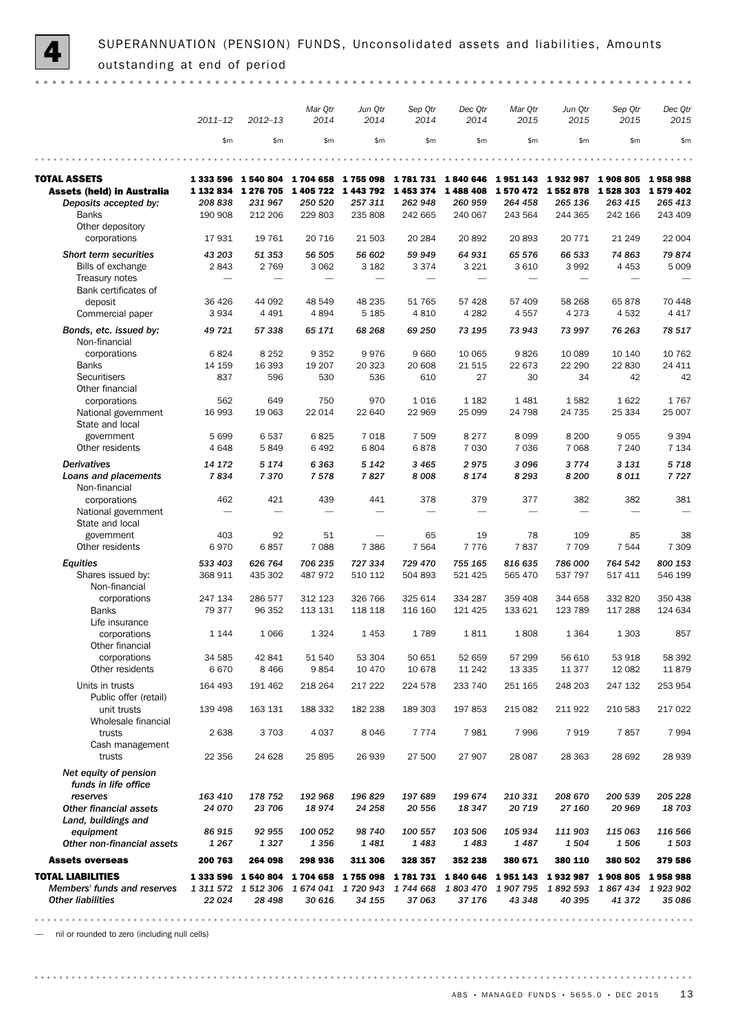

SUPERANNUATION (PENSION) FUNDS, Unconsolidated assets and liabilities, Amounts outstanding at end of period

|                                                          |                          |                                                   | Mar Qtr                      | Jun Qtr                         | Sep Qtr              | Dec Qtr             | Mar Qtr              | Jun Qtr                                                                                   | Sep Qtr            | Dec Qtr            |
|----------------------------------------------------------|--------------------------|---------------------------------------------------|------------------------------|---------------------------------|----------------------|---------------------|----------------------|-------------------------------------------------------------------------------------------|--------------------|--------------------|
|                                                          | $2011 - 12$              | $2012 - 13$                                       | 2014                         | 2014                            | 2014                 | 2014                | 2015                 | 2015                                                                                      | 2015               | 2015               |
|                                                          | \$m\$                    | \$m\$                                             | \$m\$                        | \$m\$                           | \$m                  | \$m                 | \$m                  | \$m\$                                                                                     | \$m\$              | \$m                |
|                                                          |                          |                                                   |                              |                                 |                      |                     |                      |                                                                                           |                    |                    |
| <b>TOTAL ASSETS</b><br><b>Assets (held) in Australia</b> | 1 333 596<br>1 132 834   | 1 540 804<br>1 276 705                            | 1704 658 1755 098<br>1405722 | 1443792                         | 1 781 731<br>1453374 | 1840 646<br>1488408 | 1951143<br>1 570 472 | 1932987<br>1 552 878                                                                      | 1908805<br>1528303 | 1958988<br>1579402 |
| Deposits accepted by:                                    | 208 838                  | 231 967                                           | 250 520                      | 257 311                         | 262 948              | 260 959             | 264 458              | 265 136                                                                                   | 263 415            | 265 413            |
| <b>Banks</b>                                             | 190 908                  | 212 206                                           | 229 803                      | 235 808                         | 242 665              | 240 067             | 243 564              | 244 365                                                                                   | 242 166            | 243 409            |
| Other depository                                         |                          |                                                   |                              |                                 |                      |                     |                      |                                                                                           |                    |                    |
| corporations                                             | 17931                    | 19 761                                            | 20 716                       | 21 503                          | 20 284               | 20892               | 20893                | 20 771                                                                                    | 21 249             | 22 004             |
| Short term securities                                    | 43 203                   | 51 353                                            | 56 505                       | 56 602                          | 59 949               | 64 931              | 65 576               | 66 533                                                                                    | 74 863             | 79874              |
| Bills of exchange                                        | 2843                     | 2 7 6 9                                           | 3 0 6 2                      | 3 1 8 2                         | 3 3 7 4              | 3 2 2 1             | 3 6 1 0              | 3 9 9 2                                                                                   | 4 4 5 3            | 5 0 0 9            |
| Treasury notes<br>Bank certificates of                   | $\overline{\phantom{0}}$ |                                                   |                              | $\overbrace{\qquad \qquad }^{}$ |                      |                     |                      |                                                                                           |                    |                    |
| deposit                                                  | 36 426                   | 44 092                                            | 48 549                       | 48 235                          | 51 765               | 57 428              | 57 409               | 58 268                                                                                    | 65878              | 70 448             |
| Commercial paper                                         | 3 9 3 4                  | 4 4 9 1                                           | 4894                         | 5 1 8 5                         | 4 8 1 0              | 4 2 8 2             | 4557                 | 4 2 7 3                                                                                   | 4532               | 4 4 1 7            |
| Bonds, etc. issued by:                                   | 49 721                   | 57 338                                            | 65 171                       | 68 268                          | 69 250               | 73 195              | 73 943               | 73 997                                                                                    | 76 263             | 78 517             |
| Non-financial<br>corporations                            | 6824                     | 8 2 5 2                                           | 9 3 5 2                      | 9976                            | 9660                 | 10 065              | 9826                 | 10 089                                                                                    | 10 140             | 10 762             |
| <b>Banks</b>                                             | 14 159                   | 16 393                                            | 19 207                       | 20 323                          | 20 608               | 21515               | 22 673               | 22 290                                                                                    | 22 830             | 24 411             |
| <b>Securitisers</b>                                      | 837                      | 596                                               | 530                          | 536                             | 610                  | 27                  | 30                   | 34                                                                                        | 42                 | 42                 |
| Other financial                                          |                          |                                                   |                              |                                 |                      |                     |                      |                                                                                           |                    |                    |
| corporations                                             | 562                      | 649                                               | 750                          | 970                             | 1016                 | 1 1 8 2             | 1481                 | 1582                                                                                      | 1622               | 1767               |
| National government<br>State and local                   | 16 993                   | 19 063                                            | 22 014                       | 22 640                          | 22 969               | 25 099              | 24 798               | 24 735                                                                                    | 25 334             | 25 007             |
| government                                               | 5 6 9 9                  | 6537                                              | 6825                         | 7018                            | 7 509                | 8 2 7 7             | 8099                 | 8 2 0 0                                                                                   | 9055               | 9 3 9 4            |
| Other residents                                          | 4 6 4 8                  | 5849                                              | 6 4 9 2                      | 6804                            | 6878                 | 7 0 3 0             | 7 0 3 6              | 7 0 6 8                                                                                   | 7 2 4 0            | 7 1 3 4            |
| <b>Derivatives</b>                                       | 14 172                   | 5 1 7 4                                           | 6363                         | 5 1 4 2                         | 3 4 6 5              | 2975                | 3096                 | 3774                                                                                      | 3 1 3 1            | 5718               |
| Loans and placements<br>Non-financial                    | 7834                     | 7370                                              | 7578                         | 7827                            | 8008                 | 8 1 7 4             | 8 2 9 3              | 8 200                                                                                     | 8011               | 7727               |
| corporations                                             | 462                      | 421                                               | 439                          | 441                             | 378                  | 379                 | 377                  | 382                                                                                       | 382                | 381                |
| National government<br>State and local                   |                          |                                                   |                              | $\overline{\phantom{0}}$        |                      |                     |                      |                                                                                           |                    |                    |
| government                                               | 403                      | 92                                                | 51                           |                                 | 65                   | 19                  | 78                   | 109                                                                                       | 85                 | 38                 |
| Other residents                                          | 6970                     | 6857                                              | 7 0 8 8                      | 7 3 8 6                         | 7 5 6 4              | 7776                | 7837                 | 7 7 0 9                                                                                   | 7 5 4 4            | 7 3 0 9            |
| <b>Equities</b>                                          | 533 403                  | 626 764                                           | 706 235                      | 727 334                         | 729 470              | 755 165             | 816 635              | 786 000                                                                                   | 764 542            | 800 153            |
| Shares issued by:<br>Non-financial                       | 368 911                  | 435 302                                           | 487 972                      | 510 112                         | 504 893              | 521 425             | 565 470              | 537 797                                                                                   | 517 411            | 546 199            |
| corporations                                             | 247 134                  | 286 577                                           | 312 123                      | 326 766                         | 325 614              | 334 287             | 359 408              | 344 658                                                                                   | 332 820            | 350 438            |
| <b>Banks</b><br>Life insurance                           | 79 377                   | 96 352                                            | 113 131                      | 118 118                         | 116 160              | 121 425             | 133 621              | 123 789                                                                                   | 117 288            | 124 634            |
| corporations                                             | 1 1 4 4                  | 1 0 6 6                                           | 1 3 2 4                      | 1453                            | 1789                 | 1811                | 1808                 | 1 3 6 4                                                                                   | 1 3 0 3            | 857                |
| Other financial                                          |                          |                                                   |                              |                                 |                      |                     |                      |                                                                                           |                    |                    |
| corporations<br>Other residents                          | 34 585<br>6670           | 42 841<br>8 4 6 6                                 | 51 540<br>9854               | 53 304<br>10 470                | 50 651<br>10 678     | 52 659<br>11 242    | 57 299<br>13 3 35    | 56 610<br>11 377                                                                          | 53 918<br>12 082   | 58 392<br>11879    |
| Units in trusts                                          | 164 493                  | 191 462                                           | 218 264                      | 217 222                         | 224 578              | 233 740             | 251 165              | 248 203                                                                                   | 247 132            | 253 954            |
| Public offer (retail)                                    |                          |                                                   |                              |                                 |                      |                     |                      |                                                                                           |                    |                    |
| unit trusts<br>Wholesale financial                       | 139 498                  | 163 131                                           | 188 332                      | 182 238                         | 189 303              | 197 853             | 215 082              | 211922                                                                                    | 210 583            | 217 022            |
| trusts                                                   | 2 6 3 8                  | 3 7 0 3                                           | 4 0 3 7                      | 8046                            | 7 7 7 4              | 7981                | 7996                 | 7919                                                                                      | 7857               | 7994               |
| Cash management<br>trusts                                | 22 356                   | 24 628                                            | 25 895                       | 26 939                          | 27 500               | 27 907              | 28 087               | 28 3 63                                                                                   | 28 692             | 28 939             |
| Net equity of pension<br>funds in life office            |                          |                                                   |                              |                                 |                      |                     |                      |                                                                                           |                    |                    |
| reserves                                                 | 163 410                  | 178 752                                           | 192 968                      | 196 829                         | 197 689              | 199 674             | 210 331              | 208 670                                                                                   | 200 539            | 205 228            |
| <b>Other financial assets</b>                            | 24 070                   | 23 706                                            | 18974                        | 24 258                          | 20 556               | 18 347              | 20719                | 27 160                                                                                    | 20 969             | 18703              |
| Land, buildings and                                      |                          |                                                   |                              |                                 |                      |                     |                      |                                                                                           |                    |                    |
| equipment<br>Other non-financial assets                  | 86 915<br>1 2 6 7        | 92 955<br>1327                                    | 100 052<br>1356              | 98 740<br>1481                  | 100 557<br>1483      | 103 506<br>1483     | 105 934<br>1487      | 111 903<br>1504                                                                           | 115 063<br>1506    | 116 566<br>1503    |
| <b>Assets overseas</b>                                   | 200 763                  | 264 098                                           | 298 936                      | 311 306                         | 328 357              | 352 238             | 380 671              | 380 110                                                                                   | 380 502            | 379 586            |
| <b>TOTAL LIABILITIES</b>                                 |                          |                                                   |                              |                                 |                      |                     |                      | 1 333 596 1 540 804 1 704 658 1 755 098 1 781 731 1 840 646 1 951 143 1 932 987 1 908 805 |                    | 1958988            |
| Members' funds and reserves                              |                          | 1 311 572 1 512 306 1 674 041 1 720 943 1 744 668 |                              |                                 |                      |                     |                      | 1803 470 1907 795 1892 593                                                                | 1867434            | 1923902            |
| <b>Other liabilities</b>                                 | 22 0 24                  | 28 4 98                                           | 30 616                       | 34 155                          | 37063                | 37 176              | 43 348               | 40 395                                                                                    | 41 372             | 35 086             |
|                                                          |                          |                                                   |                              |                                 |                      |                     |                      |                                                                                           |                    |                    |

— nil or rounded to zero (including null cells)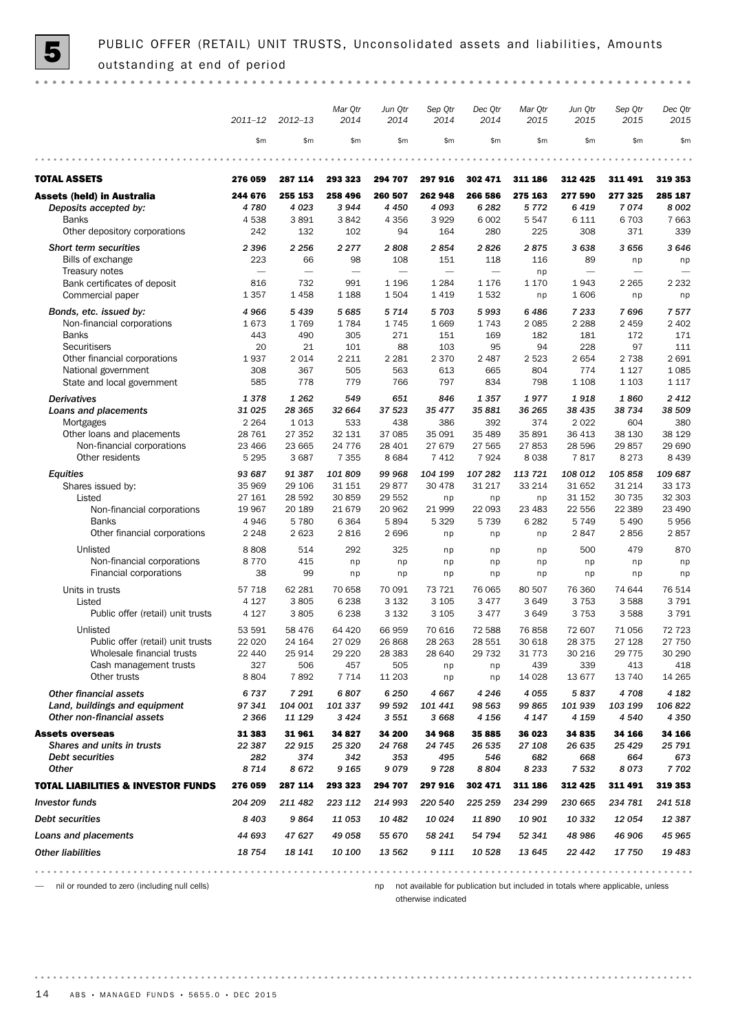

PUBLIC OFFER (RETAIL) UNIT TRUSTS, Unconsolidated assets and liabilities, Amounts outstanding at end of period

|                                                             |                          |                          | Mar Qtr                  | Jun Qtr                  | Sep Qtr                       | Dec Qtr                  | Mar Qtr           | Jun Qtr            | Sep Qtr                  | Dec Qtr          |
|-------------------------------------------------------------|--------------------------|--------------------------|--------------------------|--------------------------|-------------------------------|--------------------------|-------------------|--------------------|--------------------------|------------------|
|                                                             | $2011 - 12$              | $2012 - 13$              | 2014                     | 2014                     | 2014                          | 2014                     | 2015              | 2015               | 2015                     | 2015             |
|                                                             | \$m\$                    | \$m                      | \$m                      | \$m\$                    | \$m\$                         | \$m\$                    | \$m               | \$m\$              | \$m                      | \$m              |
|                                                             |                          |                          |                          |                          |                               |                          |                   |                    |                          |                  |
| <b>TOTAL ASSETS</b>                                         | 276 059                  | 287 114                  | 293 323                  | 294 707                  | 297 916                       | 302 471                  | 311 186           | 312 425            | 311 491                  | 319 353          |
| <b>Assets (held) in Australia</b>                           | 244 676                  | 255 153                  | 258 496                  | 260 507                  | 262 948                       | 266 586                  | 275 163           | 277 590            | 277 325                  | 285 187          |
| Deposits accepted by:                                       | 4780                     | 4 0 23                   | 3944                     | 4 4 5 0                  | 4093                          | 6 2 8 2                  | 5772              | 6419               | 7074<br>6 7 0 3          | 8002<br>7 6 6 3  |
| <b>Banks</b><br>Other depository corporations               | 4538<br>242              | 3891<br>132              | 3842<br>102              | 4 3 5 6<br>94            | 3929<br>164                   | 6 0 0 2<br>280           | 5547<br>225       | 6 1 1 1<br>308     | 371                      | 339              |
| <b>Short term securities</b>                                | 2 3 9 6                  | 2 2 5 6                  | 2 2 7 7                  | 2808                     | 2854                          | 2826                     | 2875              | 3638               | 3 6 5 6                  | 3646             |
| Bills of exchange                                           | 223                      | 66                       | 98                       | 108                      | 151                           | 118                      | 116               | 89                 | np                       | np               |
| Treasury notes                                              | $\overline{\phantom{0}}$ | $\overline{\phantom{0}}$ | $\overline{\phantom{0}}$ | $\overline{\phantom{0}}$ | $\overbrace{\phantom{12332}}$ | $\overline{\phantom{0}}$ | np                |                    | $\overline{\phantom{0}}$ |                  |
| Bank certificates of deposit                                | 816                      | 732                      | 991                      | 1 1 9 6                  | 1 2 8 4                       | 1 1 7 6                  | 1 1 7 0           | 1943               | 2 2 6 5                  | 2 2 3 2          |
| Commercial paper                                            | 1 3 5 7                  | 1458                     | 1 1 8 8                  | 1504                     | 1419                          | 1532                     | np                | 1606               | np                       | np               |
| Bonds, etc. issued by:                                      | 4966                     | 5 4 3 9                  | 5685                     | 5714                     | 5703                          | 5993                     | 6486              | 7 2 3 3            | 7696                     | 7577             |
| Non-financial corporations                                  | 1673                     | 1769                     | 1784                     | 1745                     | 1 6 6 9                       | 1743                     | 2 0 8 5           | 2 2 8 8            | 2 4 5 9                  | 2 4 0 2          |
| <b>Banks</b>                                                | 443                      | 490                      | 305                      | 271                      | 151                           | 169                      | 182               | 181                | 172                      | 171              |
| Securitisers<br>Other financial corporations                | 20<br>1937               | 21<br>2014               | 101<br>2 2 1 1           | 88<br>2 2 8 1            | 103<br>2 3 7 0                | 95<br>2 4 8 7            | 94<br>2 5 2 3     | 228<br>2654        | 97<br>2 7 3 8            | 111<br>2 6 9 1   |
| National government                                         | 308                      | 367                      | 505                      | 563                      | 613                           | 665                      | 804               | 774                | 1 1 2 7                  | 1 0 8 5          |
| State and local government                                  | 585                      | 778                      | 779                      | 766                      | 797                           | 834                      | 798               | 1 1 0 8            | 1 1 0 3                  | 1 1 1 7          |
| <b>Derivatives</b>                                          | 1378                     | 1 2 6 2                  | 549                      | 651                      | 846                           | 1357                     | 1977              | 1918               | 1860                     | 2412             |
| Loans and placements                                        | 31 0 25                  | 28 365                   | 32 664                   | 37 523                   | 35 477                        | 35 881                   | 36 265            | 38 435             | 38 734                   | 38 509           |
| Mortgages                                                   | 2 2 6 4                  | 1013                     | 533                      | 438                      | 386                           | 392                      | 374               | 2022               | 604                      | 380              |
| Other loans and placements                                  | 28 7 61                  | 27 352                   | 32 131                   | 37 085                   | 35 091                        | 35 489                   | 35 891            | 36 413             | 38 130                   | 38 1 29          |
| Non-financial corporations                                  | 23 4 66                  | 23 665                   | 24 7 7 6                 | 28 401                   | 27 679                        | 27 565                   | 27853             | 28 596             | 29857                    | 29 690           |
| Other residents                                             | 5 2 9 5                  | 3 6 8 7                  | 7 3 5 5                  | 8684                     | 7 4 1 2                       | 7924                     | 8038              | 7817               | 8 2 7 3                  | 8 4 3 9          |
| <b>Equities</b>                                             | 93 687                   | 91 387                   | 101 809                  | 99 968                   | 104 199                       | 107 282                  | 113 721           | 108 012            | 105858                   | 109 687          |
| Shares issued by:<br>Listed                                 | 35 969<br>27 161         | 29 106<br>28 592         | 31 151<br>30 859         | 29877<br>29 552          | 30 478                        | 31 217                   | 33 214            | 31 652<br>31 152   | 31 214<br>30 735         | 33 173<br>32 303 |
| Non-financial corporations                                  | 19 967                   | 20 189                   | 21 6 7 9                 | 20 962                   | np<br>21 999                  | np<br>22 093             | np<br>23 4 83     | 22 556             | 22 3 89                  | 23 490           |
| <b>Banks</b>                                                | 4946                     | 5780                     | 6 3 6 4                  | 5894                     | 5 3 2 9                       | 5 7 3 9                  | 6 2 8 2           | 5749               | 5 4 9 0                  | 5956             |
| Other financial corporations                                | 2 2 4 8                  | 2 6 2 3                  | 2816                     | 2696                     | np                            | np                       | np                | 2847               | 2856                     | 2857             |
| Unlisted                                                    | 8808                     | 514                      | 292                      | 325                      | np                            | np                       | np                | 500                | 479                      | 870              |
| Non-financial corporations                                  | 8770                     | 415                      | np                       | np                       | np                            | np                       | np                | np                 | np                       | np               |
| Financial corporations                                      | 38                       | 99                       | np                       | np                       | np                            | np                       | np                | np                 | np                       | np               |
| Units in trusts                                             | 57 718                   | 62 281                   | 70 658                   | 70 091                   | 73 721                        | 76 065                   | 80 507            | 76 360             | 74 644                   | 76 514           |
| Listed                                                      | 4 1 2 7                  | 3805                     | 6 2 3 8                  | 3 1 3 2                  | 3 1 0 5                       | 3 4 7 7                  | 3649              | 3753               | 3588                     | 3 7 9 1          |
| Public offer (retail) unit trusts                           | 4 1 2 7                  | 3805                     | 6 2 3 8                  | 3 1 3 2                  | 3 1 0 5                       | 3 4 7 7                  | 3649              | 3753               | 3588                     | 3 7 9 1          |
| Unlisted                                                    | 53 591                   | 58 476                   | 64 4 20                  | 66 959                   | 70 616                        | 72 588                   | 76858             | 72 607             | 71 056                   | 72 723           |
| Public offer (retail) unit trusts                           | 22 0 20                  | 24 164                   | 27 0 29                  | 26 868                   | 28 263                        | 28 551                   | 30 618            | 28 3 7 5           | 27 128                   | 27 750           |
| Wholesale financial trusts                                  | 22 440                   | 25914                    | 29 2 20                  | 28 3 8 3                 | 28 640                        | 29 7 32                  | 31 7 7 3          | 30 216             | 29 7 7 5                 | 30 290           |
| Cash management trusts<br>Other trusts                      | 327                      | 506                      | 457                      | 505                      | np                            | np                       | 439               | 339                | 413                      | 418              |
|                                                             | 8804                     | 7892                     | 7 7 1 4                  | 11 203                   | np                            | np                       | 14 0 28           | 13677              | 13 740                   | 14 265           |
| <b>Other financial assets</b>                               | 6737                     | 7 2 9 1                  | 6807                     | 6 2 5 0                  | 4667                          | 4 2 4 6                  | 4055              | 5837               | 4708<br>103 199          | 4 182            |
| Land, buildings and equipment<br>Other non-financial assets | 97 341<br>2 3 6 6        | 104 001<br>11 129        | 101 337<br>3424          | 99 592<br>3 5 5 1        | 101 441<br>3668               | 98 563<br>4 1 5 6        | 99 865<br>4 1 4 7 | 101 939<br>4 1 5 9 | 4 5 4 0                  | 106 822<br>4 350 |
|                                                             |                          |                          |                          |                          |                               |                          |                   |                    |                          |                  |
| <b>Assets overseas</b><br>Shares and units in trusts        | 31 383<br>22 387         | 31961<br>22 915          | 34 827<br>25 3 20        | 34 200<br>24 768         | 34 968<br>24 745              | 35 885<br>26 535         | 36 023<br>27 108  | 34 835<br>26 635   | 34 166<br>25 4 29        | 34 166<br>25 791 |
| Debt securities                                             | 282                      | 374                      | 342                      | 353                      | 495                           | 546                      | 682               | 668                | 664                      | 673              |
| <b>Other</b>                                                | 8714                     | 8672                     | 9 1 6 5                  | 9079                     | 9728                          | 8804                     | 8 2 3 3           | 7 5 3 2            | 8073                     | 7702             |
| <b>TOTAL LIABILITIES &amp; INVESTOR FUNDS</b>               | 276 059                  | 287 114                  | 293 323                  | 294 707                  | 297 916                       | 302 471                  | 311 186           | 312 425            | 311 491                  | 319 353          |
| <b>Investor funds</b>                                       | 204 209                  | 211 482                  | 223 112                  | 214 993                  | 220 540                       | 225 259                  | 234 299           | 230 665            | 234 781                  | 241 518          |
| Debt securities                                             | 8 4 0 3                  | 9864                     | 11 053                   | 10 482                   | 10 0 24                       | 11890                    | 10 901            | 10 332             | 12 054                   | 12 387           |
| Loans and placements                                        | 44 693                   | 47 627                   | 49 058                   | 55 670                   | 58 241                        | 54 794                   | 52 341            | 48 986             | 46 906                   | 45 965           |
|                                                             |                          |                          |                          |                          |                               |                          |                   |                    |                          |                  |

— nil or rounded to zero (including null cells)

np not available for publication but included in totals where applicable, unless otherwise indicated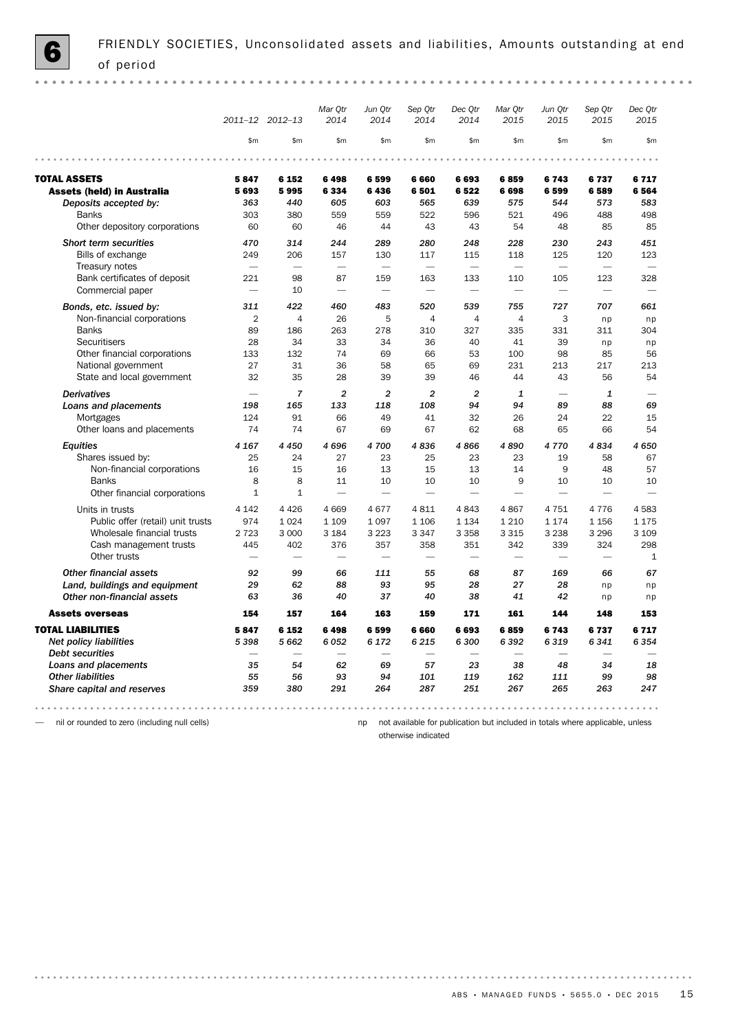$\alpha$  .  $\alpha$ 

|                                                                        | 2011-12 2012-13                        |                                       | Mar Qtr<br>2014                       | Jun Qtr<br>2014                        | Sep Qtr<br>2014                        | Dec Qtr<br>2014                        | Mar Qtr<br>2015                                                                                                                                                                                                                     | Jun Qtr<br>2015                        | Sep Qtr<br>2015                        | Dec Qtr<br>2015     |
|------------------------------------------------------------------------|----------------------------------------|---------------------------------------|---------------------------------------|----------------------------------------|----------------------------------------|----------------------------------------|-------------------------------------------------------------------------------------------------------------------------------------------------------------------------------------------------------------------------------------|----------------------------------------|----------------------------------------|---------------------|
|                                                                        | \$m\$                                  | \$m\$                                 | \$m\$                                 | \$m\$                                  | \$m\$                                  | \$m                                    | \$m\$                                                                                                                                                                                                                               | \$m                                    | \$m                                    | $\mathsf{m}$        |
|                                                                        |                                        |                                       |                                       |                                        |                                        |                                        |                                                                                                                                                                                                                                     |                                        |                                        |                     |
| <b>TOTAL ASSETS</b><br><b>Assets (held) in Australia</b>               | 5847<br>5693                           | 6 152<br>5995                         | 6498<br>6334                          | 6599<br>6436                           | 6 6 6 0<br>6501                        | 6693<br>6522                           | 6859<br>6698                                                                                                                                                                                                                        | 6743<br>6599                           | 6737<br>6589                           | 6717<br>6564        |
| Deposits accepted by:<br><b>Banks</b><br>Other depository corporations | 363<br>303<br>60                       | 440<br>380<br>60                      | 605<br>559<br>46                      | 603<br>559<br>44                       | 565<br>522<br>43                       | 639<br>596<br>43                       | 575<br>521<br>54                                                                                                                                                                                                                    | 544<br>496<br>48                       | 573<br>488<br>85                       | 583<br>498<br>85    |
| <b>Short term securities</b>                                           | 470                                    | 314                                   | 244                                   | 289                                    | 280                                    | 248                                    | 228                                                                                                                                                                                                                                 | 230                                    | 243                                    | 451                 |
| Bills of exchange<br>Treasury notes<br>Bank certificates of deposit    | 249<br>$\overline{\phantom{0}}$<br>221 | 206<br>$\overline{\phantom{0}}$<br>98 | 157<br>$\overline{\phantom{0}}$<br>87 | 130<br>$\overline{\phantom{m}}$<br>159 | 117<br>$\overline{\phantom{m}}$<br>163 | 115<br>$\overline{\phantom{0}}$<br>133 | 118<br>$\overline{\phantom{m}}$<br>110                                                                                                                                                                                              | 125<br>$\overline{\phantom{0}}$<br>105 | 120<br>$\overline{\phantom{0}}$<br>123 | 123<br>-<br>328     |
| Commercial paper                                                       | $\overline{\phantom{0}}$               | 10                                    | $\overline{\phantom{0}}$              | $\overline{\phantom{0}}$               | $\overline{\phantom{0}}$               | $\overline{\phantom{0}}$               |                                                                                                                                                                                                                                     | $\overline{\phantom{0}}$               | $\overline{\phantom{0}}$               |                     |
| Bonds, etc. issued by:                                                 | 311                                    | 422                                   | 460                                   | 483                                    | 520                                    | 539                                    | 755                                                                                                                                                                                                                                 | 727                                    | 707                                    | 661                 |
| Non-financial corporations<br><b>Banks</b>                             | $\overline{2}$<br>89                   | $\overline{4}$<br>186                 | 26<br>263                             | 5<br>278                               | $\overline{4}$<br>310                  | $\overline{4}$<br>327                  | $\overline{4}$<br>335                                                                                                                                                                                                               | 3<br>331                               | np<br>311                              | np<br>304           |
| Securitisers<br>Other financial corporations                           | 28<br>133                              | 34<br>132                             | 33<br>74                              | 34<br>69                               | 36<br>66                               | 40<br>53                               | 41<br>100                                                                                                                                                                                                                           | 39<br>98                               | np<br>85                               | np<br>56            |
| National government<br>State and local government                      | 27<br>32                               | 31<br>35                              | 36<br>28                              | 58<br>39                               | 65<br>39                               | 69<br>46                               | 231<br>44                                                                                                                                                                                                                           | 213<br>43                              | 217<br>56                              | 213<br>54           |
| <b>Derivatives</b>                                                     |                                        | $\overline{7}$                        | $\overline{a}$                        | $\overline{a}$                         | $\overline{a}$                         | $\overline{c}$                         | $\mathbf{1}$                                                                                                                                                                                                                        | L.                                     | $\mathbf{1}$                           |                     |
| Loans and placements                                                   | 198                                    | 165                                   | 133                                   | 118                                    | 108                                    | 94                                     | 94                                                                                                                                                                                                                                  | 89                                     | 88                                     | 69                  |
| Mortgages<br>Other loans and placements                                | 124<br>74                              | 91<br>74                              | 66<br>67                              | 49<br>69                               | 41<br>67                               | 32<br>62                               | 26<br>68                                                                                                                                                                                                                            | 24<br>65                               | 22<br>66                               | 15<br>54            |
| <b>Equities</b>                                                        | 4 1 6 7                                | 4 4 5 0                               | 4696                                  | 4700                                   | 4836                                   | 4866                                   | 4890                                                                                                                                                                                                                                | 4770                                   | 4834                                   | 4 6 5 0             |
| Shares issued by:                                                      | 25                                     | 24                                    | 27                                    | 23                                     | 25                                     | 23                                     | 23                                                                                                                                                                                                                                  | 19                                     | 58                                     | 67                  |
| Non-financial corporations                                             | 16                                     | 15                                    | 16                                    | 13                                     | 15                                     | 13                                     | 14                                                                                                                                                                                                                                  | 9                                      | 48                                     | 57                  |
| <b>Banks</b><br>Other financial corporations                           | 8<br>$\mathbf 1$                       | 8<br>$\mathbf 1$                      | 11                                    | 10<br>$\overline{\phantom{0}}$         | 10<br>÷.                               | 10<br>÷.                               | 9<br>and the contract of the contract of the contract of the contract of the contract of the contract of the contract of the contract of the contract of the contract of the contract of the contract of the contract of the contra | 10                                     | 10                                     | 10                  |
| Units in trusts                                                        | 4 1 4 2                                | 4 4 2 6                               | 4 6 6 9                               | 4677                                   | 4811                                   | 4843                                   | 4867                                                                                                                                                                                                                                | 4751                                   | 4776                                   | 4583                |
| Public offer (retail) unit trusts                                      | 974                                    | 1 0 2 4                               | 1 1 0 9                               | 1 0 9 7                                | 1 1 0 6                                | 1 1 3 4                                | 1 2 1 0                                                                                                                                                                                                                             | 1 1 7 4                                | 1 1 5 6                                | 1 1 7 5             |
| Wholesale financial trusts                                             | 2 7 2 3                                | 3 0 0 0                               | 3 1 8 4                               | 3 2 2 3                                | 3 3 4 7                                | 3 3 5 8                                | 3 3 1 5                                                                                                                                                                                                                             | 3 2 3 8                                | 3 2 9 6                                | 3 1 0 9             |
| Cash management trusts<br>Other trusts                                 | 445                                    | 402                                   | 376                                   | 357                                    | 358                                    | 351                                    | 342                                                                                                                                                                                                                                 | 339                                    | 324                                    | 298<br>$\mathbf{1}$ |
| <b>Other financial assets</b>                                          | 92                                     | 99                                    | 66                                    | 111                                    | 55                                     | 68                                     | 87                                                                                                                                                                                                                                  | 169                                    | 66                                     | 67                  |
| Land, buildings and equipment<br>Other non-financial assets            | 29                                     | 62                                    | 88                                    | 93                                     | 95                                     | 28                                     | 27                                                                                                                                                                                                                                  | 28                                     | np                                     | np                  |
|                                                                        | 63                                     | 36                                    | 40                                    | 37                                     | 40                                     | 38                                     | 41                                                                                                                                                                                                                                  | 42                                     | np                                     | np                  |
| <b>Assets overseas</b>                                                 | 154                                    | 157                                   | 164                                   | 163                                    | 159                                    | 171                                    | 161                                                                                                                                                                                                                                 | 144                                    | 148                                    | 153                 |
| <b>TOTAL LIABILITIES</b>                                               | 5847<br>5 3 9 8                        | 6 152<br>5 6 6 2                      | 6498<br>6052                          | 6599<br>6 1 7 2                        | 6660<br>6 2 1 5                        | 6693<br>6300                           | 6859<br>6392                                                                                                                                                                                                                        | 6743<br>6319                           | 6737<br>6341                           | 6717<br>6 3 5 4     |
| <b>Net policy liabilities</b><br><b>Debt securities</b>                |                                        |                                       |                                       |                                        |                                        |                                        |                                                                                                                                                                                                                                     |                                        |                                        |                     |
| Loans and placements                                                   | 35                                     | 54                                    | 62                                    | 69                                     | 57                                     | 23                                     | 38                                                                                                                                                                                                                                  | 48                                     | 34                                     | 18                  |
| <b>Other liabilities</b>                                               | 55                                     | 56                                    | 93                                    | 94                                     | 101                                    | 119                                    | 162                                                                                                                                                                                                                                 | 111                                    | 99                                     | 98                  |
| Share capital and reserves                                             | 359                                    | 380                                   | 291                                   | 264                                    | 287                                    | 251                                    | 267                                                                                                                                                                                                                                 | 265                                    | 263                                    | 247                 |

— nil or rounded to zero (including null cells)

np not available for publication but included in totals where applicable, unless otherwise indicated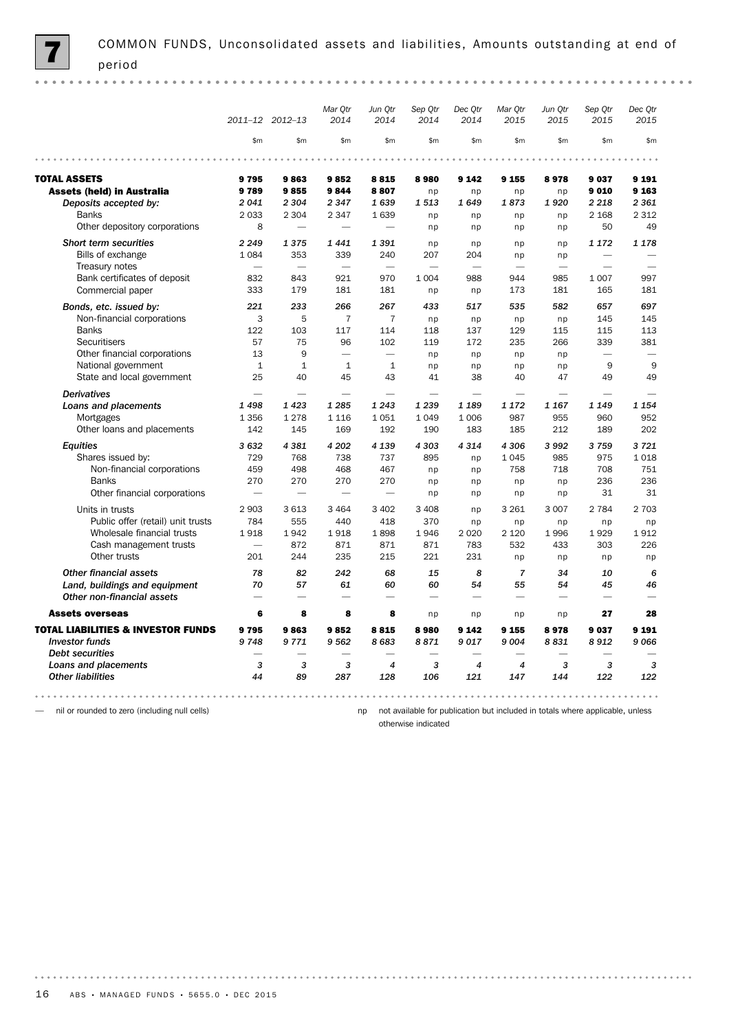|                                               |                          | 2011-12 2012-13          | Mar Otr<br>2014          | Jun Qtr<br>2014          | Sep Qtr<br>2014          | Dec Qtr<br>2014          | Mar Qtr<br>2015          | Jun Qtr<br>2015          | Sep Qtr<br>2015          | Dec Otr<br>2015 |
|-----------------------------------------------|--------------------------|--------------------------|--------------------------|--------------------------|--------------------------|--------------------------|--------------------------|--------------------------|--------------------------|-----------------|
|                                               | \$m                      | \$m                      | \$m\$                    | \$m\$                    | \$m\$                    | \$m\$                    | \$m\$                    | \$m                      | \$m                      | \$m             |
|                                               |                          |                          |                          |                          |                          |                          |                          |                          |                          |                 |
| <b>TOTAL ASSETS</b>                           | 9795                     | 9863                     | 9852                     | 8815                     | 8980                     | 9 1 4 2                  | 9 155                    | 8978                     | 9037                     | 9 1 9 1         |
| <b>Assets (held) in Australia</b>             | 9789                     | 9855                     | 9844                     | 8807                     | np                       | np                       | np                       | np                       | 9010                     | 9 1 63          |
| Deposits accepted by:                         | 2041                     | 2 3 0 4                  | 2 3 4 7                  | 1639                     | 1513                     | 1649                     | 1873                     | 1920                     | 2 2 1 8                  | 2 3 6 1         |
| <b>Banks</b>                                  | 2033                     | 2 3 0 4                  | 2 3 4 7                  | 1639                     | np                       | np                       | np                       | np                       | 2 1 6 8                  | 2 3 1 2         |
| Other depository corporations                 | 8                        | $\overline{\phantom{0}}$ |                          | $\overline{\phantom{0}}$ | np                       | np                       | np                       | np                       | 50                       | 49              |
| Short term securities                         | 2 2 4 9                  | 1375                     | 1441                     | 1391                     | np                       | np                       | np                       | np                       | 1 172                    | 1 1 7 8         |
| Bills of exchange                             | 1084                     | 353                      | 339                      | 240                      | 207                      | 204                      | np                       | np                       | L.                       |                 |
| Treasury notes                                | $\overline{\phantom{0}}$ | $\overline{\phantom{0}}$ | $\overline{\phantom{0}}$ | $\overline{\phantom{0}}$ | $\overline{\phantom{0}}$ | $\overline{\phantom{0}}$ | $\overline{\phantom{0}}$ | $\overline{\phantom{0}}$ |                          |                 |
| Bank certificates of deposit                  | 832                      | 843                      | 921                      | 970                      | 1 0 0 4                  | 988                      | 944                      | 985                      | 1 0 0 7                  | 997             |
| Commercial paper                              | 333                      | 179                      | 181                      | 181                      | np                       | np                       | 173                      | 181                      | 165                      | 181             |
| Bonds, etc. issued by:                        | 221                      | 233                      | 266                      | 267                      | 433                      | 517                      | 535                      | 582                      | 657                      | 697             |
| Non-financial corporations                    | 3                        | 5                        | $\overline{7}$           | $\overline{7}$           | np                       | np                       | np                       | np                       | 145                      | 145             |
| <b>Banks</b>                                  | 122                      | 103                      | 117                      | 114                      | 118                      | 137                      | 129                      | 115                      | 115                      | 113             |
| Securitisers                                  | 57                       | 75                       | 96                       | 102                      | 119                      | 172                      | 235                      | 266                      | 339                      | 381             |
| Other financial corporations                  | 13                       | 9                        | ÷.                       | $\overline{\phantom{a}}$ | np                       | np                       | np                       | np                       | $\overline{\phantom{0}}$ |                 |
| National government                           | $\mathbf{1}$             | $\mathbf{1}$             | $\mathbf{1}$             | $\mathbf{1}$             | np                       | np                       | np                       | np                       | 9                        | 9               |
| State and local government                    | 25                       | 40                       | 45                       | 43                       | 41                       | 38                       | 40                       | 47                       | 49                       | 49              |
|                                               |                          |                          |                          |                          |                          |                          | ÷.                       |                          |                          |                 |
| <b>Derivatives</b>                            | 1498                     | 1423                     | 1 2 8 5                  | 1 2 4 3                  | 1 239                    | 1 1 8 9                  | 1 1 7 2                  | 1 1 6 7                  |                          | 1 1 5 4         |
| Loans and placements                          | 1 3 5 6                  | 1 2 7 8                  | 1 1 1 6                  | 1051                     | 1049                     | 1 0 0 6                  | 987                      | 955                      | 1 1 4 9<br>960           | 952             |
| Mortgages<br>Other loans and placements       | 142                      | 145                      | 169                      | 192                      | 190                      | 183                      | 185                      | 212                      | 189                      | 202             |
|                                               |                          |                          |                          |                          |                          |                          |                          |                          |                          |                 |
| <b>Equities</b>                               | 3632                     | 4381                     | 4 20 2                   | 4 1 3 9                  | 4 3 0 3                  | 4 3 1 4                  | 4 3 0 6                  | 3992                     | 3759                     | 3721            |
| Shares issued by:                             | 729                      | 768                      | 738                      | 737                      | 895                      | np                       | 1045                     | 985                      | 975                      | 1018            |
| Non-financial corporations                    | 459                      | 498                      | 468                      | 467                      | np                       | np                       | 758                      | 718                      | 708                      | 751             |
| <b>Banks</b>                                  | 270                      | 270                      | 270                      | 270                      | np                       | np                       | np                       | np                       | 236                      | 236             |
| Other financial corporations                  | $\overline{\phantom{0}}$ | $\overline{\phantom{0}}$ | $\overline{\phantom{0}}$ | $\overline{\phantom{0}}$ | np                       | np                       | np                       | np                       | 31                       | 31              |
| Units in trusts                               | 2 9 0 3                  | 3 6 1 3                  | 3 4 6 4                  | 3 4 0 2                  | 3 4 0 8                  | np                       | 3 2 6 1                  | 3 0 0 7                  | 2 7 8 4                  | 2 7 0 3         |
| Public offer (retail) unit trusts             | 784                      | 555                      | 440                      | 418                      | 370                      | np                       | np                       | np                       | np                       | np              |
| Wholesale financial trusts                    | 1918                     | 1942                     | 1918                     | 1898                     | 1946                     | 2 0 2 0                  | 2 1 2 0                  | 1996                     | 1929                     | 1912            |
| Cash management trusts                        |                          | 872                      | 871                      | 871                      | 871                      | 783                      | 532                      | 433                      | 303                      | 226             |
| Other trusts                                  | 201                      | 244                      | 235                      | 215                      | 221                      | 231                      | np                       | np                       | np                       | np              |
| <b>Other financial assets</b>                 | 78                       | 82                       | 242                      | 68                       | 15                       | 8                        | $\overline{7}$           | 34                       | 10                       | 6               |
| Land, buildings and equipment                 | 70                       | 57                       | 61                       | 60                       | 60                       | 54                       | 55                       | 54                       | 45                       | 46              |
| Other non-financial assets                    |                          |                          | $\overline{\phantom{0}}$ | $\overline{\phantom{0}}$ | $\overline{\phantom{0}}$ | $\overline{\phantom{0}}$ | $\overline{\phantom{0}}$ | $\overline{\phantom{0}}$ |                          |                 |
| <b>Assets overseas</b>                        | 6                        | 8                        | 8                        | 8                        | np                       | np                       | np                       | np                       | 27                       | 28              |
| <b>TOTAL LIABILITIES &amp; INVESTOR FUNDS</b> | 9795                     | 9863                     | 9852                     | 8815                     | 8980                     | 9 1 4 2                  | 9 1 5 5                  | 8978                     | 9037                     | 9 1 9 1         |
| <b>Investor funds</b>                         | 9748                     | 9771                     | 9562                     | 8683                     | 8871                     | 9017                     | 9 0 0 4                  | 8831                     | 8912                     | 9066            |
| <b>Debt securities</b>                        |                          | ÷.                       |                          |                          | $\overline{\phantom{0}}$ |                          |                          |                          |                          |                 |
| Loans and placements                          | 3                        | 3                        | 3                        | $\overline{4}$           | 3                        | 4                        | $\overline{4}$           | 3                        | 3                        | 3               |
| <b>Other liabilities</b>                      | 44                       | 89                       | 287                      | 128                      | 106                      | 121                      | 147                      | 144                      | 122                      | 122             |

— nil or rounded to zero (including null cells)

np not available for publication but included in totals where applicable, unless

otherwise indicated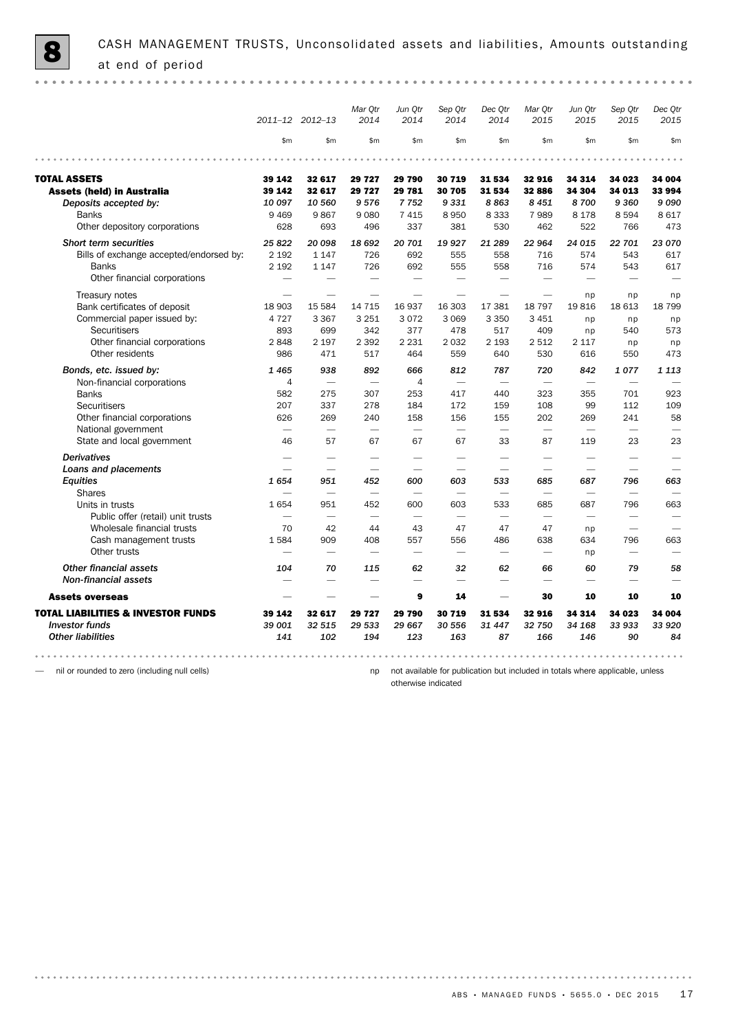|                                               |                          | 2011-12 2012-13          | Mar Qtr<br>2014          | Jun Qtr<br>2014          | Sep Qtr<br>2014          | Dec Qtr<br>2014          | Mar Qtr<br>2015          | Jun Qtr<br>2015          | Sep Qtr<br>2015          | Dec Qtr<br>2015 |
|-----------------------------------------------|--------------------------|--------------------------|--------------------------|--------------------------|--------------------------|--------------------------|--------------------------|--------------------------|--------------------------|-----------------|
|                                               | \$m                      | \$m\$                    | \$m                      | \$m                      | \$m\$                    | \$m\$                    | \$m\$                    | \$m                      | \$m\$                    | \$m             |
|                                               |                          |                          |                          |                          |                          |                          |                          |                          |                          |                 |
| <b>TOTAL ASSETS</b>                           | 39 142                   | 32 617                   | 29 727                   | 29790                    | 30 719                   | 31 534                   | 32916                    | 34 314                   | 34 023                   | 34 004          |
| <b>Assets (held) in Australia</b>             | 39 142                   | 32 617                   | 29 727                   | 29 781                   | 30 705                   | 31 534                   | 32 886                   | 34 304                   | 34 013                   | 33 994          |
| Deposits accepted by:                         | 10 097                   | 10 560                   | 9576                     | 7752                     | 9331                     | 8863                     | 8 4 5 1                  | 8700                     | 9 3 6 0                  | 9090            |
| <b>Banks</b>                                  | 9 4 6 9                  | 9867                     | 9080                     | 7415                     | 8950                     | 8 3 3 3                  | 7989                     | 8 1 7 8                  | 8594                     | 8 6 1 7         |
| Other depository corporations                 | 628                      | 693                      | 496                      | 337                      | 381                      | 530                      | 462                      | 522                      | 766                      | 473             |
| <b>Short term securities</b>                  | 25822                    | 20 098                   | 18 692                   | 20 701                   | 19 9 27                  | 21 289                   | 22 964                   | 24 015                   | 22 701                   | 23 070          |
| Bills of exchange accepted/endorsed by:       | 2 1 9 2                  | 1 1 4 7                  | 726                      | 692                      | 555                      | 558                      | 716                      | 574                      | 543                      | 617             |
| <b>Banks</b>                                  | 2 1 9 2                  | 1 1 4 7                  | 726                      | 692                      | 555                      | 558                      | 716                      | 574                      | 543                      | 617             |
| Other financial corporations                  |                          |                          | $\overline{\phantom{0}}$ |                          |                          |                          |                          |                          |                          |                 |
| Treasury notes                                |                          |                          |                          |                          |                          |                          |                          | np                       | np                       | np              |
| Bank certificates of deposit                  | 18 903                   | 15 5 84                  | 14 7 15                  | 16 937                   | 16 303                   | 17 381                   | 18 797                   | 19816                    | 18 613                   | 18 799          |
| Commercial paper issued by:                   | 4 7 2 7                  | 3 3 6 7                  | 3 2 5 1                  | 3072                     | 3 0 6 9                  | 3 3 5 0                  | 3 4 5 1                  | np                       | np                       | np              |
| Securitisers                                  | 893                      | 699                      | 342                      | 377                      | 478                      | 517                      | 409                      | np                       | 540                      | 573             |
| Other financial corporations                  | 2848                     | 2 1 9 7                  | 2 3 9 2                  | 2 2 3 1                  | 2032                     | 2 1 9 3                  | 2 5 1 2                  | 2 1 1 7                  | np                       | np              |
| Other residents                               | 986                      | 471                      | 517                      | 464                      | 559                      | 640                      | 530                      | 616                      | 550                      | 473             |
| Bonds, etc. issued by:                        | 1465                     | 938                      | 892                      | 666                      | 812                      | 787                      | 720                      | 842                      | 1077                     | 1 1 1 3         |
| Non-financial corporations                    | $\overline{4}$           | $\overline{\phantom{a}}$ | ÷.                       | $\overline{4}$           | $\overline{\phantom{a}}$ | $\overline{\phantom{a}}$ | $\overline{\phantom{a}}$ | $\overline{\phantom{0}}$ | ÷.                       |                 |
| <b>Banks</b>                                  | 582                      | 275                      | 307                      | 253                      | 417                      | 440                      | 323                      | 355                      | 701                      | 923             |
| <b>Securitisers</b>                           | 207                      | 337                      | 278                      | 184                      | 172                      | 159                      | 108                      | 99                       | 112                      | 109             |
| Other financial corporations                  | 626                      | 269                      | 240                      | 158                      | 156                      | 155                      | 202                      | 269                      | 241                      | 58              |
| National government                           | $\overline{\phantom{0}}$ |                          | $\overline{\phantom{0}}$ | $\overline{\phantom{0}}$ | $\overline{\phantom{0}}$ | $\overline{\phantom{0}}$ | $\overline{\phantom{0}}$ |                          | $\overline{\phantom{0}}$ |                 |
| State and local government                    | 46                       | 57                       | 67                       | 67                       | 67                       | 33                       | 87                       | 119                      | 23                       | 23              |
| <b>Derivatives</b>                            |                          |                          |                          |                          |                          | -                        |                          |                          |                          |                 |
| Loans and placements                          |                          |                          |                          |                          |                          |                          | $\overline{\phantom{0}}$ | -                        |                          |                 |
| Equities                                      | 1654                     | 951                      | 452                      | 600                      | 603                      | 533                      | 685                      | 687                      | 796                      | 663             |
| <b>Shares</b>                                 | -                        |                          |                          |                          | $\overline{\phantom{0}}$ |                          | $\overline{\phantom{0}}$ |                          |                          |                 |
| Units in trusts                               | 1654                     | 951                      | 452                      | 600                      | 603                      | 533                      | 685                      | 687                      | 796                      | 663             |
| Public offer (retail) unit trusts             | $\overline{\phantom{0}}$ | $\overline{\phantom{0}}$ | $\overline{\phantom{0}}$ | $\overline{\phantom{0}}$ | $\overline{\phantom{0}}$ | $\overline{\phantom{0}}$ | $\overline{\phantom{0}}$ | $\overline{\phantom{0}}$ | $\overline{\phantom{0}}$ |                 |
| Wholesale financial trusts                    | 70                       | 42                       | 44                       | 43                       | 47                       | 47                       | 47                       | np                       | $\overline{\phantom{0}}$ |                 |
| Cash management trusts                        | 1584                     | 909                      | 408                      | 557                      | 556                      | 486                      | 638                      | 634                      | 796                      | 663             |
| Other trusts                                  |                          |                          | ÷.                       | $\overline{\phantom{0}}$ | $\overline{\phantom{0}}$ |                          | ÷.                       | np                       | $\overline{\phantom{0}}$ |                 |
| <b>Other financial assets</b>                 | 104                      | 70                       | 115                      | 62                       | 32                       | 62                       | 66                       | 60                       | 79                       | 58              |
| <b>Non-financial assets</b>                   |                          |                          |                          | -                        | $\overline{\phantom{0}}$ | -                        |                          | -                        |                          |                 |
| <b>Assets overseas</b>                        |                          |                          |                          | 9                        | 14                       |                          | 30                       | 10                       | 10                       | 10              |
| <b>TOTAL LIABILITIES &amp; INVESTOR FUNDS</b> | 39 142                   | 32 617                   | 29727                    | 29790                    | 30 719                   | 31 534                   | 32916                    | 34 314                   | 34 023                   | 34 004          |
| <b>Investor funds</b>                         | 39 001                   | 32 515                   | 29 533                   | 29 667                   | 30 556                   | 31 447                   | 32 750                   | 34 168                   | 33 933                   | 33 920          |
| <b>Other liabilities</b>                      | 141                      | 102                      | 194                      | 123                      | 163                      | 87                       | 166                      | 146                      | 90                       | 84              |
|                                               |                          |                          |                          |                          |                          |                          |                          |                          |                          |                 |

— nil or rounded to zero (including null cells)

np not available for publication but included in totals where applicable, unless

otherwise indicated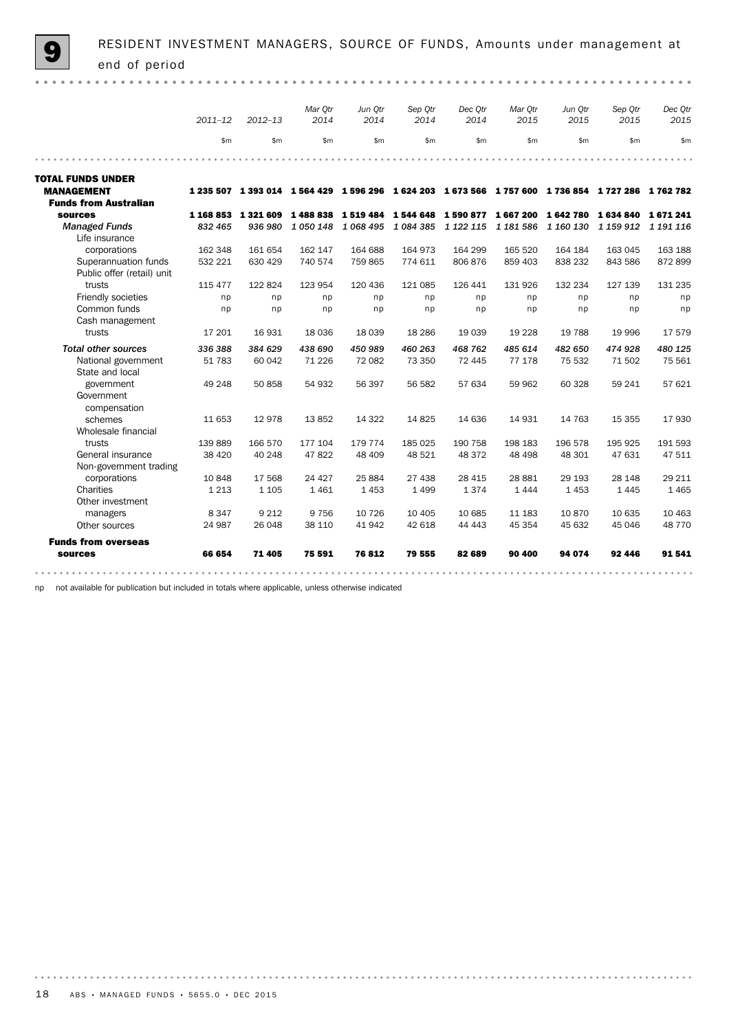|                                                    | $2011 - 12$ | $2012 - 13$    | Mar Otr<br>2014 | Jun Otr<br>2014 | Sep Otr<br>2014 | Dec Otr<br>2014 | Mar Otr<br>2015 | Jun Otr<br>2015 | Sep Qtr<br>2015                                                                                     | Dec Qtr<br>2015 |
|----------------------------------------------------|-------------|----------------|-----------------|-----------------|-----------------|-----------------|-----------------|-----------------|-----------------------------------------------------------------------------------------------------|-----------------|
|                                                    | \$m\$       | \$m\$          | \$m\$           | \$m\$           | \$m\$           | \$m\$           | \$m             | \$m             | \$m                                                                                                 | \$m             |
|                                                    |             |                |                 |                 |                 |                 |                 |                 |                                                                                                     |                 |
| <b>TOTAL FUNDS UNDER</b>                           |             |                |                 |                 |                 |                 |                 |                 |                                                                                                     |                 |
| <b>MANAGEMENT</b>                                  |             |                |                 |                 |                 |                 |                 |                 | 1 235 507 1 393 014 1 564 429 1 596 296 1 624 203 1 673 566 1 757 600 1 736 854 1 727 286 1 762 782 |                 |
| <b>Funds from Australian</b>                       |             |                |                 |                 |                 |                 |                 |                 |                                                                                                     |                 |
| <b>sources</b>                                     | 1 168 853   | 1 321 609      | 1488838         | 1519484         | 1544648         | 1590877         | 1667200         | 1642780         | 1634840                                                                                             | 1671241         |
| <b>Managed Funds</b>                               | 832 465     | 936 980        | 1 0 5 0 1 4 8   | 1 068 495       | 1 084 385       | 1 1 2 1 1 1 5   | 1 181 586       | 1 160 130       | 1 159 912                                                                                           | 1 191 116       |
| Life insurance                                     |             |                |                 |                 |                 |                 |                 |                 |                                                                                                     |                 |
| corporations                                       | 162 348     | 161 654        | 162 147         | 164 688         | 164 973         | 164 299         | 165 520         | 164 184         | 163 045                                                                                             | 163 188         |
| Superannuation funds<br>Public offer (retail) unit | 532 221     | 630 429        | 740 574         | 759 865         | 774 611         | 806 876         | 859 403         | 838 232         | 843 586                                                                                             | 872899          |
| trusts                                             | 115 477     | 122 824        | 123 954         | 120 436         | 121 085         | 126 441         | 131 926         | 132 234         | 127 139                                                                                             | 131 235         |
| Friendly societies                                 | np          | np             | np              | np              | np              | np              | np              | np              | np                                                                                                  | np              |
| Common funds                                       | np          | n <sub>D</sub> | np              | np              | np              | np              | np              | np              | np                                                                                                  | np              |
| Cash management                                    |             |                |                 |                 |                 |                 |                 |                 |                                                                                                     |                 |
| trusts                                             | 17 201      | 16 931         | 18 0 36         | 18 0 39         | 18 2 8 6        | 19 039          | 19 2 28         | 19 788          | 19 996                                                                                              | 17579           |
| <b>Total other sources</b>                         | 336 388     | 384 629        | 438 690         | 450 989         | 460 263         | 468 762         | 485 614         | 482 650         | 474 928                                                                                             | 480 125         |
| National government<br>State and local             | 51 783      | 60 042         | 71 2 2 6        | 72 082          | 73 350          | 72 445          | 77 178          | 75 532          | 71 502                                                                                              | 75 561          |
| government                                         | 49 248      | 50 858         | 54 932          | 56 397          | 56 582          | 57 634          | 59 962          | 60 328          | 59 241                                                                                              | 57 621          |
| Government                                         |             |                |                 |                 |                 |                 |                 |                 |                                                                                                     |                 |
| compensation                                       |             |                |                 |                 |                 |                 |                 |                 |                                                                                                     |                 |
| schemes                                            | 11 653      | 12978          | 13852           | 14 3 22         | 14825           | 14 636          | 14 931          | 14 763          | 15 355                                                                                              | 17930           |
| Wholesale financial                                |             |                |                 |                 |                 |                 |                 |                 |                                                                                                     |                 |
| trusts                                             | 139 889     | 166 570        | 177 104         | 179 774         | 185 025         | 190 758         | 198 183         | 196 578         | 195 925                                                                                             | 191 593         |
| General insurance                                  | 38 4 20     | 40 248         | 47822           | 48 409          | 48 5 21         | 48 372          | 48 4 98         | 48 301          | 47 631                                                                                              | 47 511          |
| Non-government trading                             |             |                |                 |                 |                 |                 |                 |                 |                                                                                                     |                 |
| corporations                                       | 10 848      | 17 568         | 24 4 27         | 25 8 84         | 27 438          | 28 4 15         | 28 881          | 29 193          | 28 148                                                                                              | 29 211          |
| Charities                                          | 1 2 1 3     | 1 1 0 5        | 1461            | 1453            | 1499            | 1374            | 1 4 4 4         | 1453            | 1445                                                                                                | 1465            |
| Other investment                                   |             |                |                 |                 |                 |                 |                 |                 |                                                                                                     |                 |
| managers                                           | 8 3 4 7     | 9 2 1 2        | 9756            | 10 7 26         | 10 4 05         | 10 685          | 11 183          | 10870           | 10 635                                                                                              | 10 4 63         |
| Other sources                                      | 24 987      | 26 048         | 38 110          | 41942           | 42 618          | 44 4 43         | 45 354          | 45 632          | 45 046                                                                                              | 48 7 7 0        |
| <b>Funds from overseas</b>                         |             |                |                 |                 |                 |                 |                 |                 |                                                                                                     |                 |
| sources                                            | 66 654      | 71 405         | 75 591          | 76812           | 79 555          | 82 689          | 90 400          | 94 074          | 92 446                                                                                              | 91541           |

np not available for publication but included in totals where applicable, unless otherwise indicated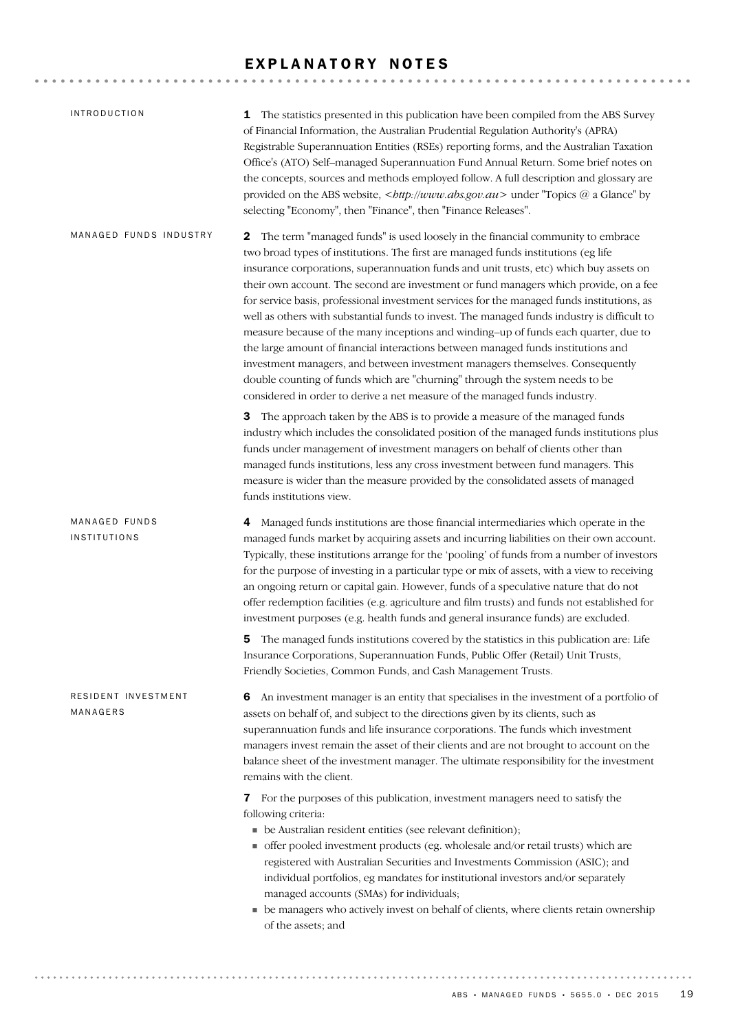## EXPLANATORY NOTES

| <i><b>INTRODUCTION</b></i>      | The statistics presented in this publication have been compiled from the ABS Survey<br>1<br>of Financial Information, the Australian Prudential Regulation Authority's (APRA)<br>Registrable Superannuation Entities (RSEs) reporting forms, and the Australian Taxation<br>Office's (ATO) Self-managed Superannuation Fund Annual Return. Some brief notes on<br>the concepts, sources and methods employed follow. A full description and glossary are<br>provided on the ABS website,<br>http://www.abs.gov.au> under "Topics @ a Glance" by<br>selecting "Economy", then "Finance", then "Finance Releases".                                                                                                                                                                                                                                                                                                                                                                     |
|---------------------------------|--------------------------------------------------------------------------------------------------------------------------------------------------------------------------------------------------------------------------------------------------------------------------------------------------------------------------------------------------------------------------------------------------------------------------------------------------------------------------------------------------------------------------------------------------------------------------------------------------------------------------------------------------------------------------------------------------------------------------------------------------------------------------------------------------------------------------------------------------------------------------------------------------------------------------------------------------------------------------------------|
| MANAGED FUNDS INDUSTRY          | The term "managed funds" is used loosely in the financial community to embrace<br>2<br>two broad types of institutions. The first are managed funds institutions (eg life<br>insurance corporations, superannuation funds and unit trusts, etc) which buy assets on<br>their own account. The second are investment or fund managers which provide, on a fee<br>for service basis, professional investment services for the managed funds institutions, as<br>well as others with substantial funds to invest. The managed funds industry is difficult to<br>measure because of the many inceptions and winding-up of funds each quarter, due to<br>the large amount of financial interactions between managed funds institutions and<br>investment managers, and between investment managers themselves. Consequently<br>double counting of funds which are "churning" through the system needs to be<br>considered in order to derive a net measure of the managed funds industry. |
|                                 | The approach taken by the ABS is to provide a measure of the managed funds<br>3<br>industry which includes the consolidated position of the managed funds institutions plus<br>funds under management of investment managers on behalf of clients other than<br>managed funds institutions, less any cross investment between fund managers. This<br>measure is wider than the measure provided by the consolidated assets of managed<br>funds institutions view.                                                                                                                                                                                                                                                                                                                                                                                                                                                                                                                    |
| MANAGED FUNDS<br>INSTITUTIONS   | Managed funds institutions are those financial intermediaries which operate in the<br>4<br>managed funds market by acquiring assets and incurring liabilities on their own account.<br>Typically, these institutions arrange for the 'pooling' of funds from a number of investors<br>for the purpose of investing in a particular type or mix of assets, with a view to receiving<br>an ongoing return or capital gain. However, funds of a speculative nature that do not<br>offer redemption facilities (e.g. agriculture and film trusts) and funds not established for<br>investment purposes (e.g. health funds and general insurance funds) are excluded.                                                                                                                                                                                                                                                                                                                     |
|                                 | <b>5</b> The managed funds institutions covered by the statistics in this publication are: Life<br>Insurance Corporations, Superannuation Funds, Public Offer (Retail) Unit Trusts,<br>Friendly Societies, Common Funds, and Cash Management Trusts.                                                                                                                                                                                                                                                                                                                                                                                                                                                                                                                                                                                                                                                                                                                                 |
| RESIDENT INVESTMENT<br>MANAGERS | An investment manager is an entity that specialises in the investment of a portfolio of<br>6<br>assets on behalf of, and subject to the directions given by its clients, such as<br>superannuation funds and life insurance corporations. The funds which investment<br>managers invest remain the asset of their clients and are not brought to account on the<br>balance sheet of the investment manager. The ultimate responsibility for the investment                                                                                                                                                                                                                                                                                                                                                                                                                                                                                                                           |
|                                 | remains with the client.                                                                                                                                                                                                                                                                                                                                                                                                                                                                                                                                                                                                                                                                                                                                                                                                                                                                                                                                                             |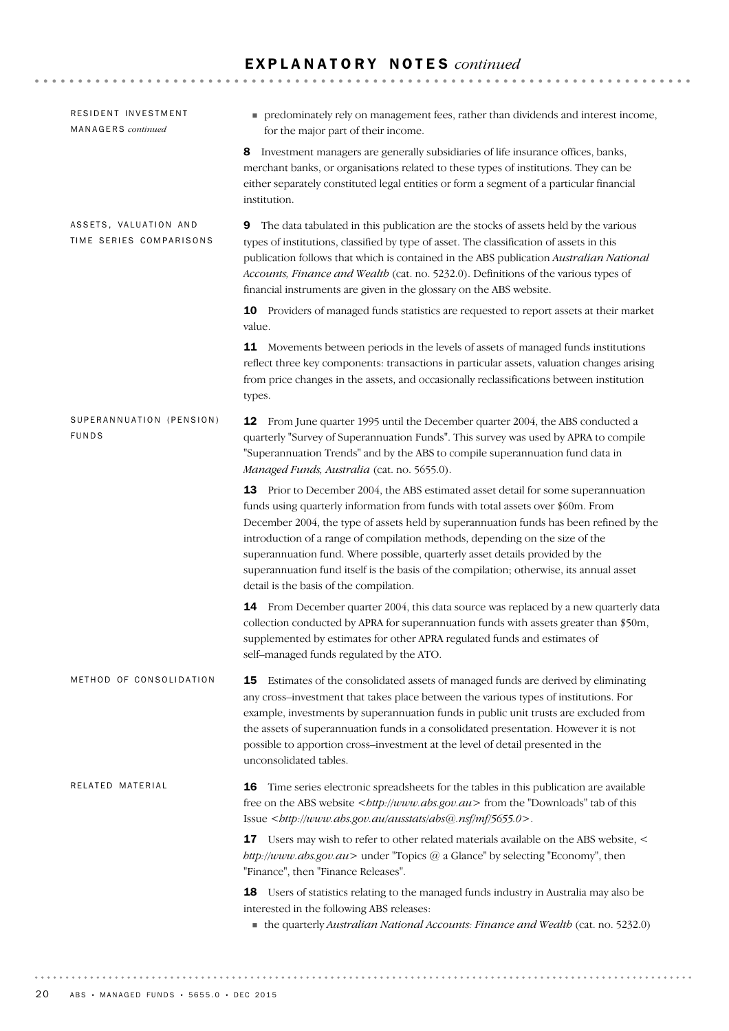## E X P L A N A T O R Y N O T E S *continued*

| RESIDENT INVESTMENT<br>MANAGERS continued        | • predominately rely on management fees, rather than dividends and interest income,<br>for the major part of their income.                                                                                                                                                                                                                                                                                                                                                                                                                                           |
|--------------------------------------------------|----------------------------------------------------------------------------------------------------------------------------------------------------------------------------------------------------------------------------------------------------------------------------------------------------------------------------------------------------------------------------------------------------------------------------------------------------------------------------------------------------------------------------------------------------------------------|
|                                                  | Investment managers are generally subsidiaries of life insurance offices, banks,<br>8<br>merchant banks, or organisations related to these types of institutions. They can be<br>either separately constituted legal entities or form a segment of a particular financial<br>institution.                                                                                                                                                                                                                                                                            |
| ASSETS, VALUATION AND<br>TIME SERIES COMPARISONS | The data tabulated in this publication are the stocks of assets held by the various<br>9<br>types of institutions, classified by type of asset. The classification of assets in this<br>publication follows that which is contained in the ABS publication Australian National<br>Accounts, Finance and Wealth (cat. no. 5232.0). Definitions of the various types of<br>financial instruments are given in the glossary on the ABS website.                                                                                                                         |
|                                                  | 10 Providers of managed funds statistics are requested to report assets at their market<br>value.                                                                                                                                                                                                                                                                                                                                                                                                                                                                    |
|                                                  | 11 Movements between periods in the levels of assets of managed funds institutions<br>reflect three key components: transactions in particular assets, valuation changes arising<br>from price changes in the assets, and occasionally reclassifications between institution<br>types.                                                                                                                                                                                                                                                                               |
| SUPERANNUATION (PENSION)<br><b>FUNDS</b>         | <b>12</b> From June quarter 1995 until the December quarter 2004, the ABS conducted a<br>quarterly "Survey of Superannuation Funds". This survey was used by APRA to compile<br>"Superannuation Trends" and by the ABS to compile superannuation fund data in<br>Managed Funds, Australia (cat. no. 5655.0).                                                                                                                                                                                                                                                         |
|                                                  | 13 Prior to December 2004, the ABS estimated asset detail for some superannuation<br>funds using quarterly information from funds with total assets over \$60m. From<br>December 2004, the type of assets held by superannuation funds has been refined by the<br>introduction of a range of compilation methods, depending on the size of the<br>superannuation fund. Where possible, quarterly asset details provided by the<br>superannuation fund itself is the basis of the compilation; otherwise, its annual asset<br>detail is the basis of the compilation. |
|                                                  | 14 From December quarter 2004, this data source was replaced by a new quarterly data<br>collection conducted by APRA for superannuation funds with assets greater than \$50m,<br>supplemented by estimates for other APRA regulated funds and estimates of<br>self-managed funds regulated by the ATO.                                                                                                                                                                                                                                                               |
| METHOD OF CONSOLIDATION                          | Estimates of the consolidated assets of managed funds are derived by eliminating<br>15<br>any cross-investment that takes place between the various types of institutions. For<br>example, investments by superannuation funds in public unit trusts are excluded from<br>the assets of superannuation funds in a consolidated presentation. However it is not<br>possible to apportion cross-investment at the level of detail presented in the<br>unconsolidated tables.                                                                                           |
| RELATED MATERIAL                                 | Time series electronic spreadsheets for the tables in this publication are available<br>16<br>free on the ABS website<br><br>$\langle \textit{http://www.abs.gov.au>}$ from the "Downloads" tab of this<br>Issue<br><br>                                                                                                                                                                                                                                                                                                                                             |
|                                                  | Users may wish to refer to other related materials available on the ABS website, <<br>17<br>$http://www.abs.gov.au>under "Topics @ a Glance" by selecting "Economy", then$<br>"Finance", then "Finance Releases".                                                                                                                                                                                                                                                                                                                                                    |
|                                                  | 18 Users of statistics relating to the managed funds industry in Australia may also be<br>interested in the following ABS releases:<br>the quarterly Australian National Accounts: Finance and Wealth (cat. no. 5232.0)                                                                                                                                                                                                                                                                                                                                              |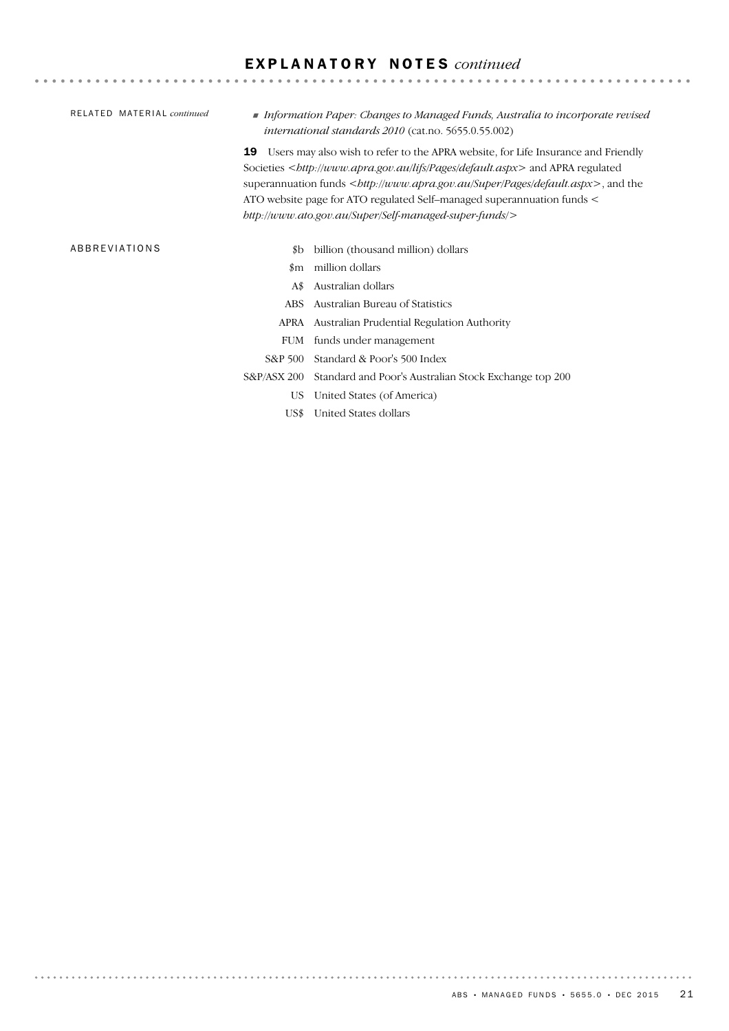## E X P L A N A T O R Y N O T E S *continued*

|  | <i>international standards</i> $2010$ (cat.no. 5655.0.55.002)                                                                                                                                                                                                                                                                                                   |                                                                                                       |                                    |  |               |                                                        |
|--|-----------------------------------------------------------------------------------------------------------------------------------------------------------------------------------------------------------------------------------------------------------------------------------------------------------------------------------------------------------------|-------------------------------------------------------------------------------------------------------|------------------------------------|--|---------------|--------------------------------------------------------|
|  | Users may also wish to refer to the APRA website, for Life Insurance and Friendly<br>19<br>Societies<br>societies<br>strp://www.apra.gov.au/lifs/Pages/default.aspx> and APRA regulated<br>superannuation funds $<$ <i>bttp://www.apra.gov.au/Super/Pages/default.aspx</i> >, and the<br>ATO website page for ATO regulated Self-managed superannuation funds < |                                                                                                       |                                    |  |               |                                                        |
|  |                                                                                                                                                                                                                                                                                                                                                                 |                                                                                                       |                                    |  |               | http://www.ato.gov.au/Super/Self-managed-super-funds/> |
|  |                                                                                                                                                                                                                                                                                                                                                                 |                                                                                                       |                                    |  | ABBREVIATIONS |                                                        |
|  |                                                                                                                                                                                                                                                                                                                                                                 | \$b                                                                                                   | billion (thousand million) dollars |  |               |                                                        |
|  | $_{\rm sm}$                                                                                                                                                                                                                                                                                                                                                     | million dollars                                                                                       |                                    |  |               |                                                        |
|  | A\$                                                                                                                                                                                                                                                                                                                                                             | Australian dollars                                                                                    |                                    |  |               |                                                        |
|  | <b>ABS</b>                                                                                                                                                                                                                                                                                                                                                      | Australian Bureau of Statistics                                                                       |                                    |  |               |                                                        |
|  |                                                                                                                                                                                                                                                                                                                                                                 | APRA Australian Prudential Regulation Authority                                                       |                                    |  |               |                                                        |
|  | <b>FUM</b>                                                                                                                                                                                                                                                                                                                                                      | funds under management                                                                                |                                    |  |               |                                                        |
|  | S&P 500                                                                                                                                                                                                                                                                                                                                                         | Standard & Poor's 500 Index                                                                           |                                    |  |               |                                                        |
|  | S&P/ASX 200                                                                                                                                                                                                                                                                                                                                                     | Standard and Poor's Australian Stock Exchange top 200                                                 |                                    |  |               |                                                        |
|  |                                                                                                                                                                                                                                                                                                                                                                 | $\frac{1}{2}$ . The state of $\frac{1}{2}$ is the state of $\frac{1}{2}$ . The state of $\frac{1}{2}$ |                                    |  |               |                                                        |

US United States (of America)

US\$ United States dollars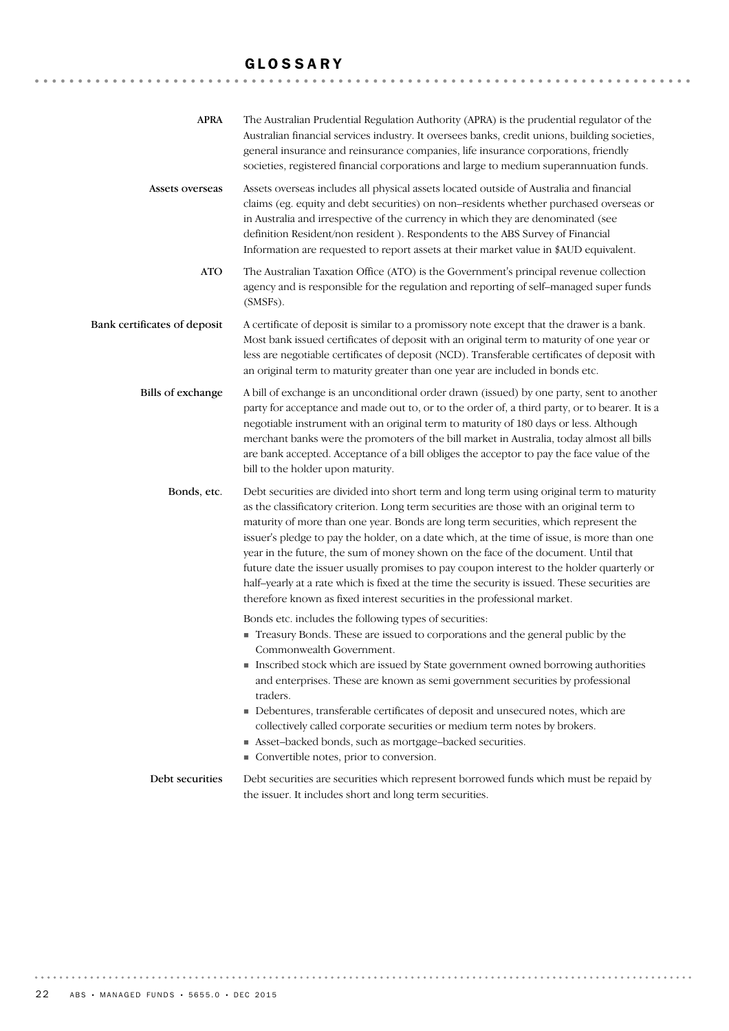## GLOSSARY

| <b>APRA</b>                  | The Australian Prudential Regulation Authority (APRA) is the prudential regulator of the<br>Australian financial services industry. It oversees banks, credit unions, building societies,<br>general insurance and reinsurance companies, life insurance corporations, friendly<br>societies, registered financial corporations and large to medium superannuation funds.                                                                                                                                                                                                                                                                                                                                                                  |
|------------------------------|--------------------------------------------------------------------------------------------------------------------------------------------------------------------------------------------------------------------------------------------------------------------------------------------------------------------------------------------------------------------------------------------------------------------------------------------------------------------------------------------------------------------------------------------------------------------------------------------------------------------------------------------------------------------------------------------------------------------------------------------|
| Assets overseas              | Assets overseas includes all physical assets located outside of Australia and financial<br>claims (eg. equity and debt securities) on non-residents whether purchased overseas or<br>in Australia and irrespective of the currency in which they are denominated (see<br>definition Resident/non resident). Respondents to the ABS Survey of Financial<br>Information are requested to report assets at their market value in \$AUD equivalent.                                                                                                                                                                                                                                                                                            |
| <b>ATO</b>                   | The Australian Taxation Office (ATO) is the Government's principal revenue collection<br>agency and is responsible for the regulation and reporting of self-managed super funds<br>(SMSFs).                                                                                                                                                                                                                                                                                                                                                                                                                                                                                                                                                |
| Bank certificates of deposit | A certificate of deposit is similar to a promissory note except that the drawer is a bank.<br>Most bank issued certificates of deposit with an original term to maturity of one year or<br>less are negotiable certificates of deposit (NCD). Transferable certificates of deposit with<br>an original term to maturity greater than one year are included in bonds etc.                                                                                                                                                                                                                                                                                                                                                                   |
| <b>Bills</b> of exchange     | A bill of exchange is an unconditional order drawn (issued) by one party, sent to another<br>party for acceptance and made out to, or to the order of, a third party, or to bearer. It is a<br>negotiable instrument with an original term to maturity of 180 days or less. Although<br>merchant banks were the promoters of the bill market in Australia, today almost all bills<br>are bank accepted. Acceptance of a bill obliges the acceptor to pay the face value of the<br>bill to the holder upon maturity.                                                                                                                                                                                                                        |
| Bonds, etc.                  | Debt securities are divided into short term and long term using original term to maturity<br>as the classificatory criterion. Long term securities are those with an original term to<br>maturity of more than one year. Bonds are long term securities, which represent the<br>issuer's pledge to pay the holder, on a date which, at the time of issue, is more than one<br>year in the future, the sum of money shown on the face of the document. Until that<br>future date the issuer usually promises to pay coupon interest to the holder quarterly or<br>half-yearly at a rate which is fixed at the time the security is issued. These securities are<br>therefore known as fixed interest securities in the professional market. |
|                              | Bonds etc. includes the following types of securities:<br>Treasury Bonds. These are issued to corporations and the general public by the<br>Commonwealth Government.<br>Inscribed stock which are issued by State government owned borrowing authorities<br>and enterprises. These are known as semi government securities by professional<br>traders.<br>• Debentures, transferable certificates of deposit and unsecured notes, which are<br>collectively called corporate securities or medium term notes by brokers.<br>Asset-backed bonds, such as mortgage-backed securities.<br>Convertible notes, prior to conversion.                                                                                                             |
| Debt securities              | Debt securities are securities which represent borrowed funds which must be repaid by<br>the issuer. It includes short and long term securities.                                                                                                                                                                                                                                                                                                                                                                                                                                                                                                                                                                                           |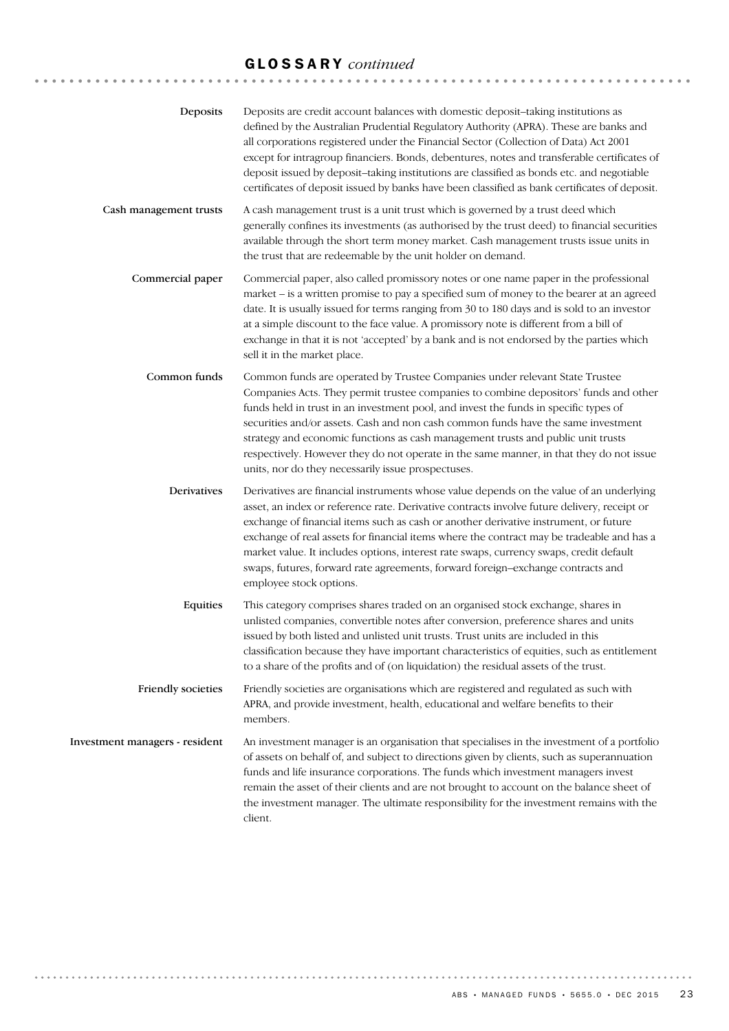# GLOSSARY *continued*

| Deposits                       | Deposits are credit account balances with domestic deposit-taking institutions as<br>defined by the Australian Prudential Regulatory Authority (APRA). These are banks and<br>all corporations registered under the Financial Sector (Collection of Data) Act 2001<br>except for intragroup financiers. Bonds, debentures, notes and transferable certificates of<br>deposit issued by deposit-taking institutions are classified as bonds etc. and negotiable<br>certificates of deposit issued by banks have been classified as bank certificates of deposit.                       |
|--------------------------------|---------------------------------------------------------------------------------------------------------------------------------------------------------------------------------------------------------------------------------------------------------------------------------------------------------------------------------------------------------------------------------------------------------------------------------------------------------------------------------------------------------------------------------------------------------------------------------------|
| Cash management trusts         | A cash management trust is a unit trust which is governed by a trust deed which<br>generally confines its investments (as authorised by the trust deed) to financial securities<br>available through the short term money market. Cash management trusts issue units in<br>the trust that are redeemable by the unit holder on demand.                                                                                                                                                                                                                                                |
| Commercial paper               | Commercial paper, also called promissory notes or one name paper in the professional<br>market – is a written promise to pay a specified sum of money to the bearer at an agreed<br>date. It is usually issued for terms ranging from 30 to 180 days and is sold to an investor<br>at a simple discount to the face value. A promissory note is different from a bill of<br>exchange in that it is not 'accepted' by a bank and is not endorsed by the parties which<br>sell it in the market place.                                                                                  |
| Common funds                   | Common funds are operated by Trustee Companies under relevant State Trustee<br>Companies Acts. They permit trustee companies to combine depositors' funds and other<br>funds held in trust in an investment pool, and invest the funds in specific types of<br>securities and/or assets. Cash and non cash common funds have the same investment<br>strategy and economic functions as cash management trusts and public unit trusts<br>respectively. However they do not operate in the same manner, in that they do not issue<br>units, nor do they necessarily issue prospectuses. |
| Derivatives                    | Derivatives are financial instruments whose value depends on the value of an underlying<br>asset, an index or reference rate. Derivative contracts involve future delivery, receipt or<br>exchange of financial items such as cash or another derivative instrument, or future<br>exchange of real assets for financial items where the contract may be tradeable and has a<br>market value. It includes options, interest rate swaps, currency swaps, credit default<br>swaps, futures, forward rate agreements, forward foreign-exchange contracts and<br>employee stock options.   |
| Equities                       | This category comprises shares traded on an organised stock exchange, shares in<br>unlisted companies, convertible notes after conversion, preference shares and units<br>issued by both listed and unlisted unit trusts. Trust units are included in this<br>classification because they have important characteristics of equities, such as entitlement<br>to a share of the profits and of (on liquidation) the residual assets of the trust.                                                                                                                                      |
| Friendly societies             | Friendly societies are organisations which are registered and regulated as such with<br>APRA, and provide investment, health, educational and welfare benefits to their<br>members.                                                                                                                                                                                                                                                                                                                                                                                                   |
| Investment managers - resident | An investment manager is an organisation that specialises in the investment of a portfolio<br>of assets on behalf of, and subject to directions given by clients, such as superannuation<br>funds and life insurance corporations. The funds which investment managers invest<br>remain the asset of their clients and are not brought to account on the balance sheet of<br>the investment manager. The ultimate responsibility for the investment remains with the<br>client.                                                                                                       |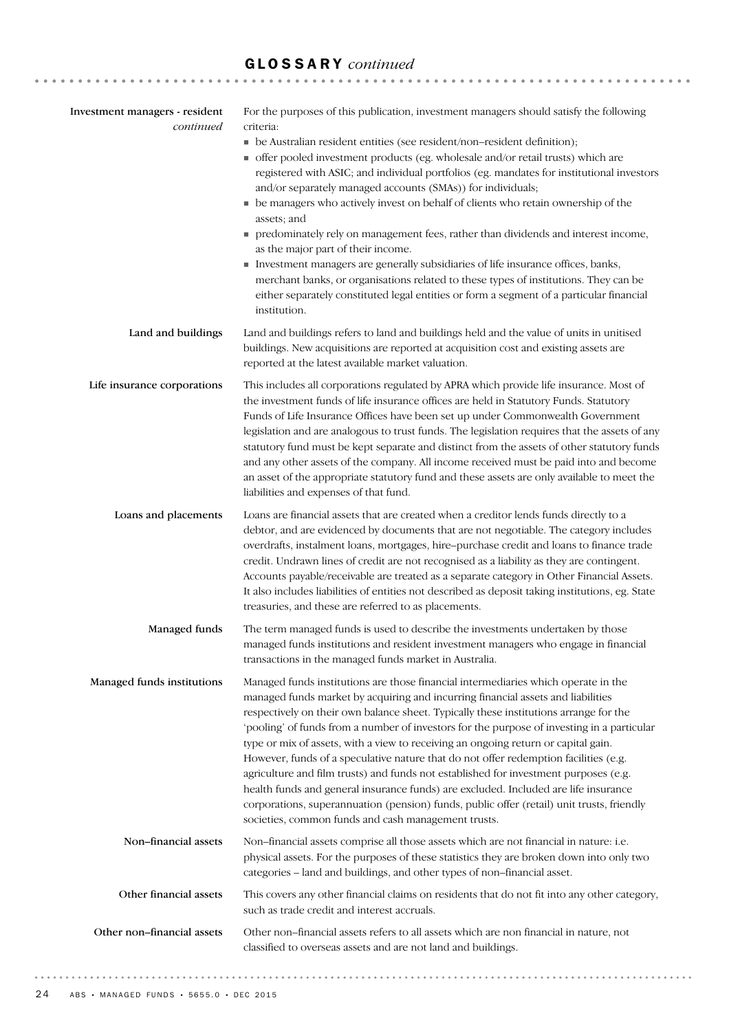# GLOSSARY *continued*

| Investment managers - resident<br>continued | For the purposes of this publication, investment managers should satisfy the following<br>criteria:<br>• be Australian resident entities (see resident/non-resident definition);<br>• offer pooled investment products (eg. wholesale and/or retail trusts) which are<br>registered with ASIC; and individual portfolios (eg. mandates for institutional investors<br>and/or separately managed accounts (SMAs)) for individuals;<br>• be managers who actively invest on behalf of clients who retain ownership of the<br>assets; and<br>• predominately rely on management fees, rather than dividends and interest income,<br>as the major part of their income.<br>Investment managers are generally subsidiaries of life insurance offices, banks,<br>merchant banks, or organisations related to these types of institutions. They can be<br>either separately constituted legal entities or form a segment of a particular financial<br>institution. |
|---------------------------------------------|-------------------------------------------------------------------------------------------------------------------------------------------------------------------------------------------------------------------------------------------------------------------------------------------------------------------------------------------------------------------------------------------------------------------------------------------------------------------------------------------------------------------------------------------------------------------------------------------------------------------------------------------------------------------------------------------------------------------------------------------------------------------------------------------------------------------------------------------------------------------------------------------------------------------------------------------------------------|
| Land and buildings                          | Land and buildings refers to land and buildings held and the value of units in unitised<br>buildings. New acquisitions are reported at acquisition cost and existing assets are<br>reported at the latest available market valuation.                                                                                                                                                                                                                                                                                                                                                                                                                                                                                                                                                                                                                                                                                                                       |
| Life insurance corporations                 | This includes all corporations regulated by APRA which provide life insurance. Most of<br>the investment funds of life insurance offices are held in Statutory Funds. Statutory<br>Funds of Life Insurance Offices have been set up under Commonwealth Government<br>legislation and are analogous to trust funds. The legislation requires that the assets of any<br>statutory fund must be kept separate and distinct from the assets of other statutory funds<br>and any other assets of the company. All income received must be paid into and become<br>an asset of the appropriate statutory fund and these assets are only available to meet the<br>liabilities and expenses of that fund.                                                                                                                                                                                                                                                           |
| Loans and placements                        | Loans are financial assets that are created when a creditor lends funds directly to a<br>debtor, and are evidenced by documents that are not negotiable. The category includes<br>overdrafts, instalment loans, mortgages, hire-purchase credit and loans to finance trade<br>credit. Undrawn lines of credit are not recognised as a liability as they are contingent.<br>Accounts payable/receivable are treated as a separate category in Other Financial Assets.<br>It also includes liabilities of entities not described as deposit taking institutions, eg. State<br>treasuries, and these are referred to as placements.                                                                                                                                                                                                                                                                                                                            |
| Managed funds                               | The term managed funds is used to describe the investments undertaken by those<br>managed funds institutions and resident investment managers who engage in financial<br>transactions in the managed funds market in Australia.                                                                                                                                                                                                                                                                                                                                                                                                                                                                                                                                                                                                                                                                                                                             |
| Managed funds institutions                  | Managed funds institutions are those financial intermediaries which operate in the<br>managed funds market by acquiring and incurring financial assets and liabilities<br>respectively on their own balance sheet. Typically these institutions arrange for the<br>'pooling' of funds from a number of investors for the purpose of investing in a particular<br>type or mix of assets, with a view to receiving an ongoing return or capital gain.<br>However, funds of a speculative nature that do not offer redemption facilities (e.g.<br>agriculture and film trusts) and funds not established for investment purposes (e.g.<br>health funds and general insurance funds) are excluded. Included are life insurance<br>corporations, superannuation (pension) funds, public offer (retail) unit trusts, friendly<br>societies, common funds and cash management trusts.                                                                              |
| Non-financial assets                        | Non-financial assets comprise all those assets which are not financial in nature: i.e.<br>physical assets. For the purposes of these statistics they are broken down into only two<br>categories - land and buildings, and other types of non-financial asset.                                                                                                                                                                                                                                                                                                                                                                                                                                                                                                                                                                                                                                                                                              |
| Other financial assets                      | This covers any other financial claims on residents that do not fit into any other category,<br>such as trade credit and interest accruals.                                                                                                                                                                                                                                                                                                                                                                                                                                                                                                                                                                                                                                                                                                                                                                                                                 |
| Other non-financial assets                  | Other non-financial assets refers to all assets which are non financial in nature, not<br>classified to overseas assets and are not land and buildings.                                                                                                                                                                                                                                                                                                                                                                                                                                                                                                                                                                                                                                                                                                                                                                                                     |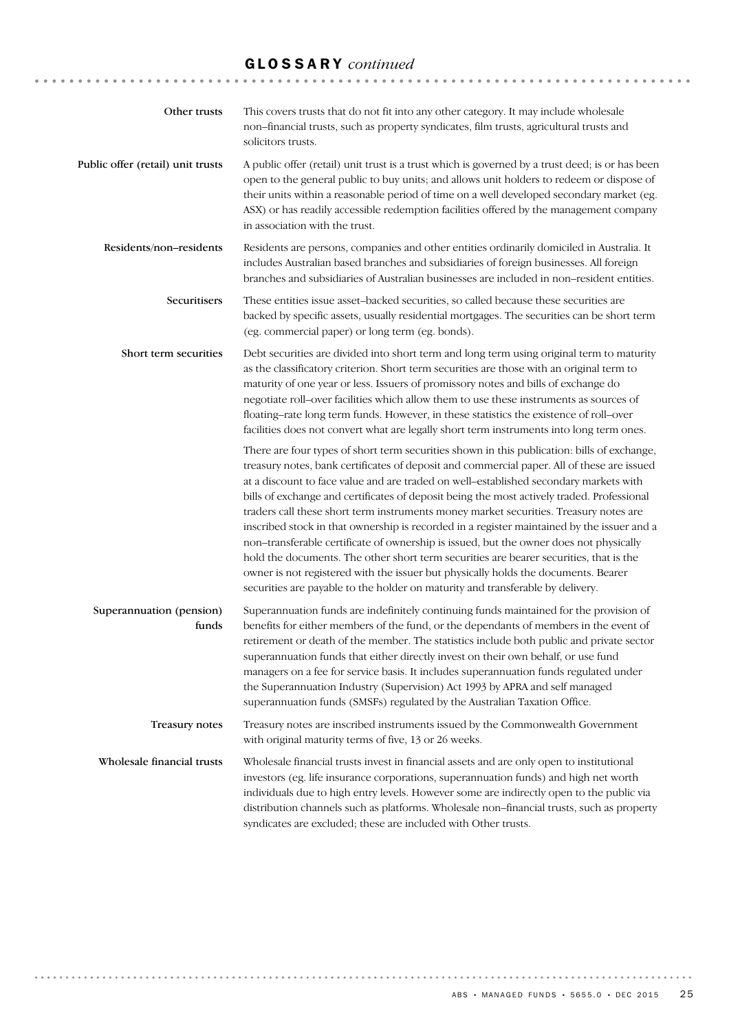## GLOSSARY *continued*

| Other trusts                      | This covers trusts that do not fit into any other category. It may include wholesale<br>non-financial trusts, such as property syndicates, film trusts, agricultural trusts and<br>solicitors trusts.                                                                                                                                                                                                                                                                                                                                                                                                                                                                                                                                                                                                                                                                                                                               |
|-----------------------------------|-------------------------------------------------------------------------------------------------------------------------------------------------------------------------------------------------------------------------------------------------------------------------------------------------------------------------------------------------------------------------------------------------------------------------------------------------------------------------------------------------------------------------------------------------------------------------------------------------------------------------------------------------------------------------------------------------------------------------------------------------------------------------------------------------------------------------------------------------------------------------------------------------------------------------------------|
| Public offer (retail) unit trusts | A public offer (retail) unit trust is a trust which is governed by a trust deed; is or has been<br>open to the general public to buy units; and allows unit holders to redeem or dispose of<br>their units within a reasonable period of time on a well developed secondary market (eg.<br>ASX) or has readily accessible redemption facilities offered by the management company<br>in association with the trust.                                                                                                                                                                                                                                                                                                                                                                                                                                                                                                                 |
| Residents/non-residents           | Residents are persons, companies and other entities ordinarily domiciled in Australia. It<br>includes Australian based branches and subsidiaries of foreign businesses. All foreign<br>branches and subsidiaries of Australian businesses are included in non-resident entities.                                                                                                                                                                                                                                                                                                                                                                                                                                                                                                                                                                                                                                                    |
| Securitisers                      | These entities issue asset-backed securities, so called because these securities are<br>backed by specific assets, usually residential mortgages. The securities can be short term<br>(eg. commercial paper) or long term (eg. bonds).                                                                                                                                                                                                                                                                                                                                                                                                                                                                                                                                                                                                                                                                                              |
| Short term securities             | Debt securities are divided into short term and long term using original term to maturity<br>as the classificatory criterion. Short term securities are those with an original term to<br>maturity of one year or less. Issuers of promissory notes and bills of exchange do<br>negotiate roll-over facilities which allow them to use these instruments as sources of<br>floating-rate long term funds. However, in these statistics the existence of roll-over<br>facilities does not convert what are legally short term instruments into long term ones.                                                                                                                                                                                                                                                                                                                                                                        |
|                                   | There are four types of short term securities shown in this publication: bills of exchange,<br>treasury notes, bank certificates of deposit and commercial paper. All of these are issued<br>at a discount to face value and are traded on well-established secondary markets with<br>bills of exchange and certificates of deposit being the most actively traded. Professional<br>traders call these short term instruments money market securities. Treasury notes are<br>inscribed stock in that ownership is recorded in a register maintained by the issuer and a<br>non-transferable certificate of ownership is issued, but the owner does not physically<br>hold the documents. The other short term securities are bearer securities, that is the<br>owner is not registered with the issuer but physically holds the documents. Bearer<br>securities are payable to the holder on maturity and transferable by delivery. |
| Superannuation (pension)<br>funds | Superannuation funds are indefinitely continuing funds maintained for the provision of<br>benefits for either members of the fund, or the dependants of members in the event of<br>retirement or death of the member. The statistics include both public and private sector<br>superannuation funds that either directly invest on their own behalf, or use fund<br>managers on a fee for service basis. It includes superannuation funds regulated under<br>the Superannuation Industry (Supervision) Act 1993 by APRA and self managed<br>superannuation funds (SMSFs) regulated by the Australian Taxation Office.                                                                                                                                                                                                                                                                                                               |
| Treasury notes                    | Treasury notes are inscribed instruments issued by the Commonwealth Government<br>with original maturity terms of five, 13 or 26 weeks.                                                                                                                                                                                                                                                                                                                                                                                                                                                                                                                                                                                                                                                                                                                                                                                             |
| Wholesale financial trusts        | Wholesale financial trusts invest in financial assets and are only open to institutional<br>investors (eg. life insurance corporations, superannuation funds) and high net worth<br>individuals due to high entry levels. However some are indirectly open to the public via<br>distribution channels such as platforms. Wholesale non-financial trusts, such as property<br>syndicates are excluded; these are included with Other trusts.                                                                                                                                                                                                                                                                                                                                                                                                                                                                                         |